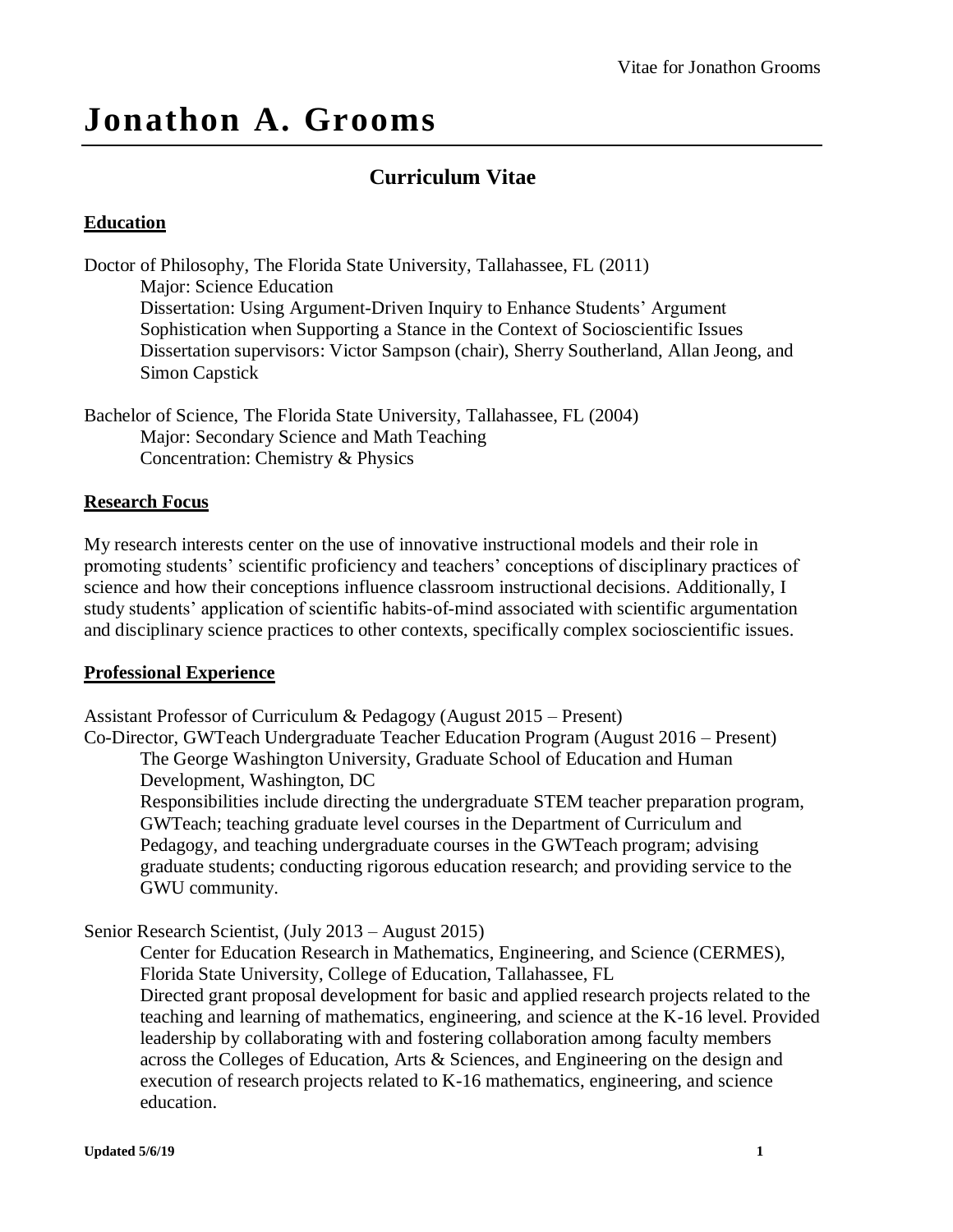# **Jonathon A. Grooms**

## **Curriculum Vitae**

## **Education**

Doctor of Philosophy, The Florida State University, Tallahassee, FL (2011) Major: Science Education Dissertation: Using Argument-Driven Inquiry to Enhance Students' Argument Sophistication when Supporting a Stance in the Context of Socioscientific Issues Dissertation supervisors: Victor Sampson (chair), Sherry Southerland, Allan Jeong, and Simon Capstick

Bachelor of Science, The Florida State University, Tallahassee, FL (2004) Major: Secondary Science and Math Teaching Concentration: Chemistry & Physics

### **Research Focus**

My research interests center on the use of innovative instructional models and their role in promoting students' scientific proficiency and teachers' conceptions of disciplinary practices of science and how their conceptions influence classroom instructional decisions. Additionally, I study students' application of scientific habits-of-mind associated with scientific argumentation and disciplinary science practices to other contexts, specifically complex socioscientific issues.

#### **Professional Experience**

Assistant Professor of Curriculum & Pedagogy (August 2015 – Present)

Co-Director, GWTeach Undergraduate Teacher Education Program (August 2016 – Present) The George Washington University, Graduate School of Education and Human Development, Washington, DC

Responsibilities include directing the undergraduate STEM teacher preparation program, GWTeach; teaching graduate level courses in the Department of Curriculum and Pedagogy, and teaching undergraduate courses in the GWTeach program; advising graduate students; conducting rigorous education research; and providing service to the GWU community.

## Senior Research Scientist, (July 2013 – August 2015)

Center for Education Research in Mathematics, Engineering, and Science (CERMES), Florida State University, College of Education, Tallahassee, FL Directed grant proposal development for basic and applied research projects related to the teaching and learning of mathematics, engineering, and science at the K-16 level. Provided leadership by collaborating with and fostering collaboration among faculty members across the Colleges of Education, Arts & Sciences, and Engineering on the design and execution of research projects related to K-16 mathematics, engineering, and science education.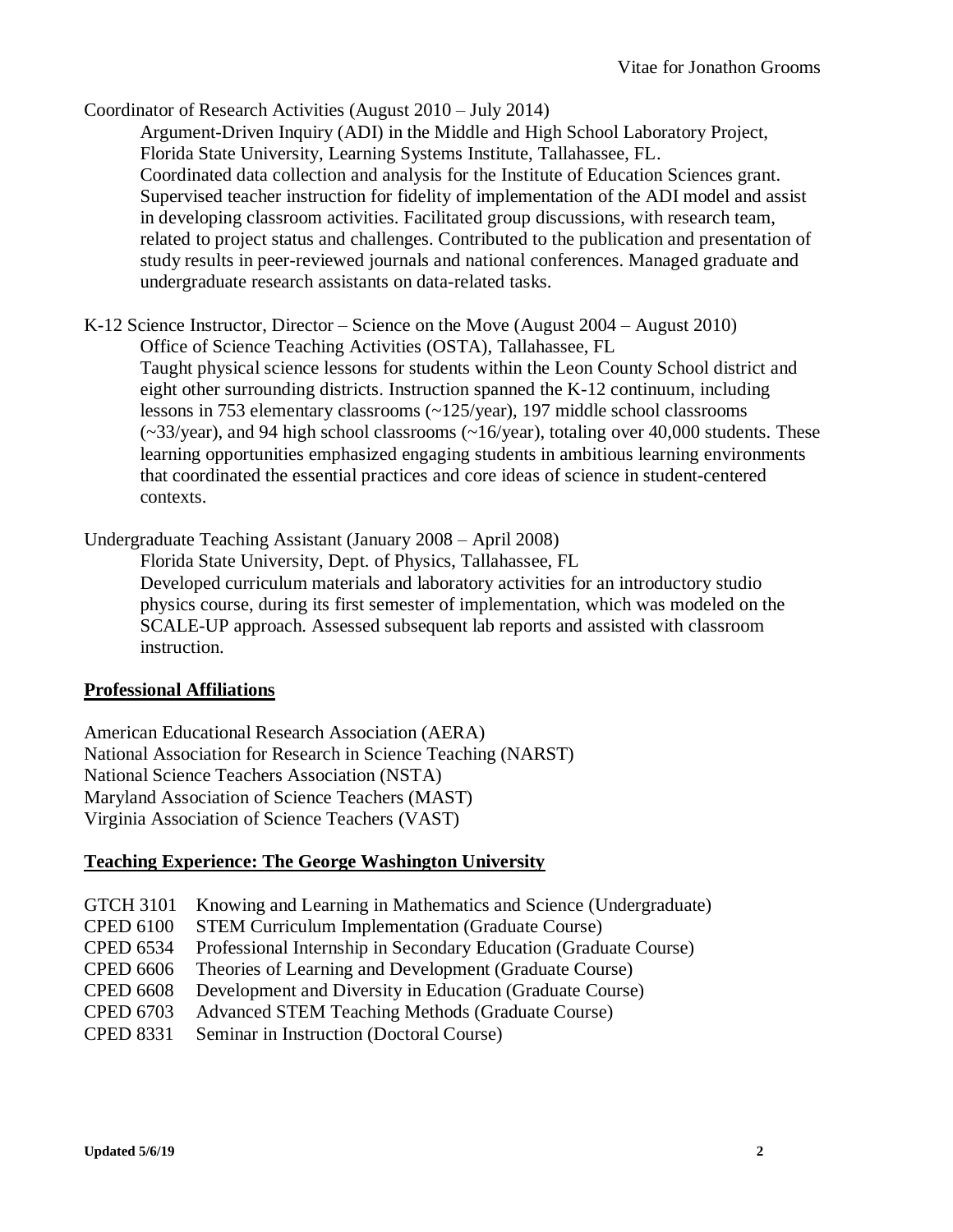Coordinator of Research Activities (August 2010 – July 2014)

Argument-Driven Inquiry (ADI) in the Middle and High School Laboratory Project, Florida State University, Learning Systems Institute, Tallahassee, FL. Coordinated data collection and analysis for the Institute of Education Sciences grant. Supervised teacher instruction for fidelity of implementation of the ADI model and assist in developing classroom activities. Facilitated group discussions, with research team, related to project status and challenges. Contributed to the publication and presentation of study results in peer-reviewed journals and national conferences. Managed graduate and undergraduate research assistants on data-related tasks.

K-12 Science Instructor, Director – Science on the Move (August 2004 – August 2010) Office of Science Teaching Activities (OSTA), Tallahassee, FL Taught physical science lessons for students within the Leon County School district and eight other surrounding districts. Instruction spanned the K-12 continuum, including lessons in 753 elementary classrooms (~125/year), 197 middle school classrooms  $(\sim 33$ /year), and 94 high school classrooms  $(\sim 16$ /year), totaling over 40,000 students. These learning opportunities emphasized engaging students in ambitious learning environments that coordinated the essential practices and core ideas of science in student-centered contexts.

Undergraduate Teaching Assistant (January 2008 – April 2008)

Florida State University, Dept. of Physics, Tallahassee, FL Developed curriculum materials and laboratory activities for an introductory studio physics course, during its first semester of implementation, which was modeled on the SCALE-UP approach. Assessed subsequent lab reports and assisted with classroom instruction.

#### **Professional Affiliations**

American Educational Research Association (AERA) National Association for Research in Science Teaching (NARST) National Science Teachers Association (NSTA) Maryland Association of Science Teachers (MAST) Virginia Association of Science Teachers (VAST)

#### **Teaching Experience: The George Washington University**

| <b>GTCH 3101</b> | Knowing and Learning in Mathematics and Science (Undergraduate)  |
|------------------|------------------------------------------------------------------|
| <b>CPED 6100</b> | <b>STEM Curriculum Implementation (Graduate Course)</b>          |
| <b>CPED 6534</b> | Professional Internship in Secondary Education (Graduate Course) |
| <b>CPED 6606</b> | Theories of Learning and Development (Graduate Course)           |
| <b>CPED 6608</b> | Development and Diversity in Education (Graduate Course)         |
| <b>CPED 6703</b> | Advanced STEM Teaching Methods (Graduate Course)                 |
| <b>CPED 8331</b> | Seminar in Instruction (Doctoral Course)                         |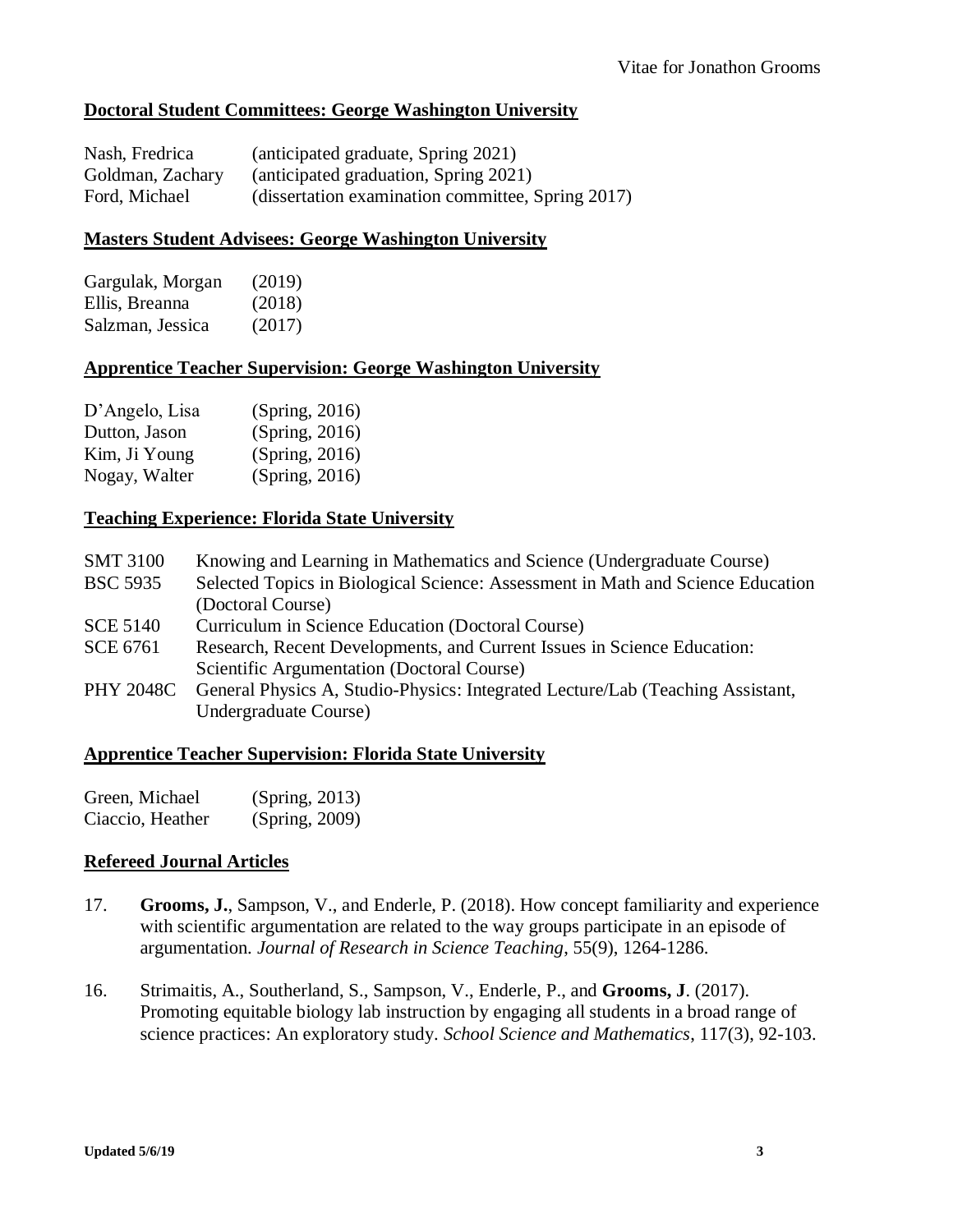## **Doctoral Student Committees: George Washington University**

| Nash, Fredrica   | (anticipated graduate, Spring 2021)               |
|------------------|---------------------------------------------------|
| Goldman, Zachary | (anticipated graduation, Spring 2021)             |
| Ford, Michael    | (dissertation examination committee, Spring 2017) |

#### **Masters Student Advisees: George Washington University**

| Gargulak, Morgan | (2019) |
|------------------|--------|
| Ellis, Breanna   | (2018) |
| Salzman, Jessica | (2017) |

#### **Apprentice Teacher Supervision: George Washington University**

| D'Angelo, Lisa | (Spring, 2016) |
|----------------|----------------|
| Dutton, Jason  | (Spring, 2016) |
| Kim, Ji Young  | (Spring, 2016) |
| Nogay, Walter  | (Spring, 2016) |

### **Teaching Experience: Florida State University**

| Knowing and Learning in Mathematics and Science (Undergraduate Course)          |
|---------------------------------------------------------------------------------|
| Selected Topics in Biological Science: Assessment in Math and Science Education |
| (Doctoral Course)                                                               |
| Curriculum in Science Education (Doctoral Course)                               |
| Research, Recent Developments, and Current Issues in Science Education:         |
| Scientific Argumentation (Doctoral Course)                                      |
| General Physics A, Studio-Physics: Integrated Lecture/Lab (Teaching Assistant,  |
| Undergraduate Course)                                                           |
|                                                                                 |

#### **Apprentice Teacher Supervision: Florida State University**

| Green, Michael   | (Spring, 2013) |
|------------------|----------------|
| Ciaccio, Heather | (Spring, 2009) |

#### **Refereed Journal Articles**

- 17. **Grooms, J.**, Sampson, V., and Enderle, P. (2018). How concept familiarity and experience with scientific argumentation are related to the way groups participate in an episode of argumentation. *Journal of Research in Science Teaching*, 55(9), 1264-1286.
- 16. Strimaitis, A., Southerland, S., Sampson, V., Enderle, P., and **Grooms, J**. (2017). Promoting equitable biology lab instruction by engaging all students in a broad range of science practices: An exploratory study. *School Science and Mathematics*, 117(3), 92-103.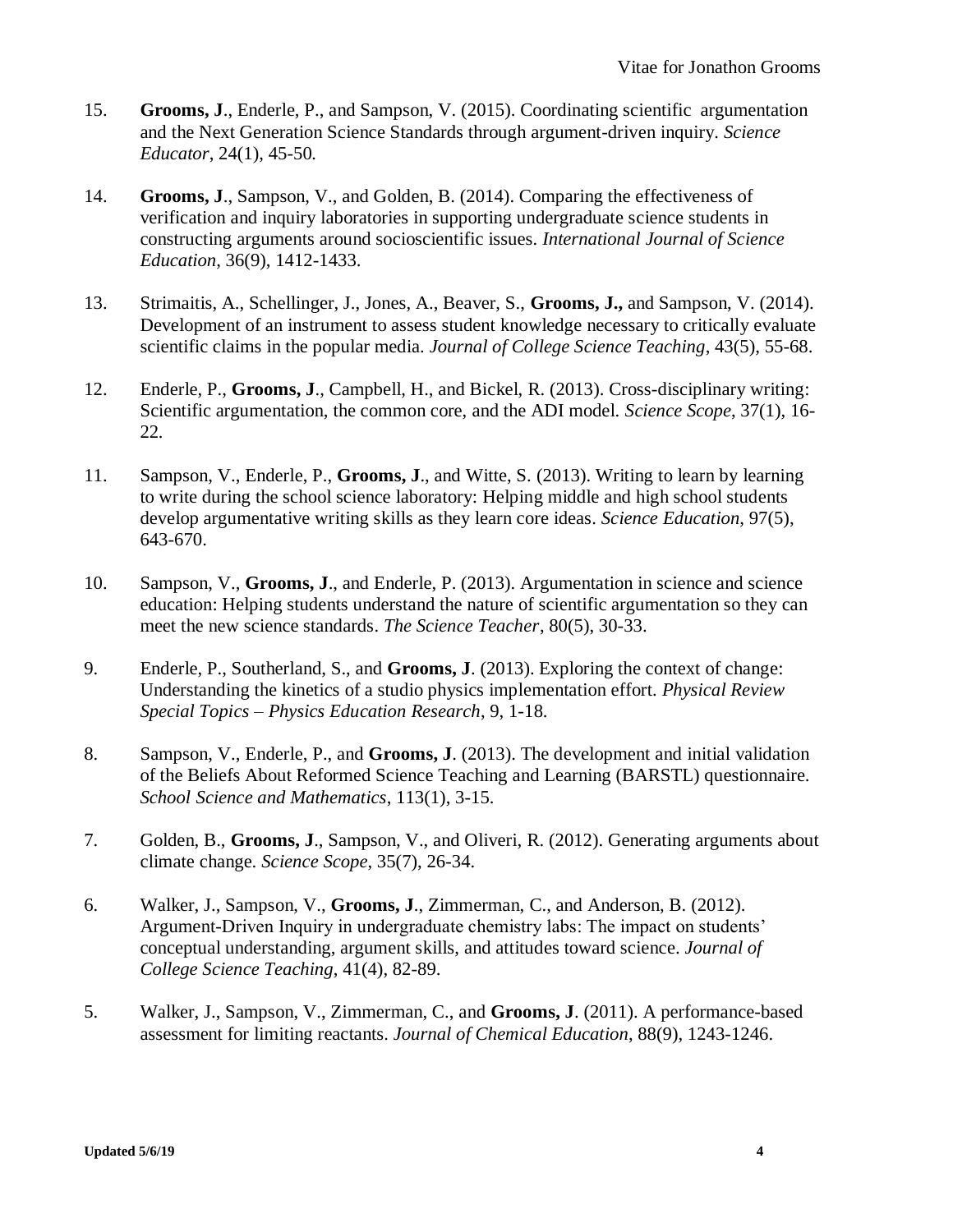- 15. **Grooms, J**., Enderle, P., and Sampson, V. (2015). Coordinating scientific argumentation and the Next Generation Science Standards through argument-driven inquiry. *Science Educator*, 24(1), 45-50*.*
- 14. **Grooms, J**., Sampson, V., and Golden, B. (2014). Comparing the effectiveness of verification and inquiry laboratories in supporting undergraduate science students in constructing arguments around socioscientific issues. *International Journal of Science Education*, 36(9), 1412-1433.
- 13. Strimaitis, A., Schellinger, J., Jones, A., Beaver, S., **Grooms, J.,** and Sampson, V. (2014). Development of an instrument to assess student knowledge necessary to critically evaluate scientific claims in the popular media. *Journal of College Science Teaching*, 43(5), 55-68.
- 12. Enderle, P., **Grooms, J**., Campbell, H., and Bickel, R. (2013). Cross-disciplinary writing: Scientific argumentation, the common core, and the ADI model. *Science Scope*, 37(1), 16- 22*.*
- 11. Sampson, V., Enderle, P., **Grooms, J**., and Witte, S. (2013). Writing to learn by learning to write during the school science laboratory: Helping middle and high school students develop argumentative writing skills as they learn core ideas. *Science Education*, 97(5), 643-670.
- 10. Sampson, V., **Grooms, J**., and Enderle, P. (2013). Argumentation in science and science education: Helping students understand the nature of scientific argumentation so they can meet the new science standards. *The Science Teacher*, 80(5), 30-33.
- 9. Enderle, P., Southerland, S., and **Grooms, J**. (2013). Exploring the context of change: Understanding the kinetics of a studio physics implementation effort. *Physical Review Special Topics – Physics Education Research*, 9, 1-18*.*
- 8. Sampson, V., Enderle, P., and **Grooms, J**. (2013). The development and initial validation of the Beliefs About Reformed Science Teaching and Learning (BARSTL) questionnaire. *School Science and Mathematics*, 113(1), 3-15.
- 7. Golden, B., **Grooms, J**., Sampson, V., and Oliveri, R. (2012). Generating arguments about climate change. *Science Scope*, 35(7), 26-34.
- 6. Walker, J., Sampson, V., **Grooms, J**., Zimmerman, C., and Anderson, B. (2012). Argument-Driven Inquiry in undergraduate chemistry labs: The impact on students' conceptual understanding, argument skills, and attitudes toward science. *Journal of College Science Teaching*, 41(4), 82-89.
- 5. Walker, J., Sampson, V., Zimmerman, C., and **Grooms, J**. (2011). A performance-based assessment for limiting reactants. *Journal of Chemical Education*, 88(9), 1243-1246.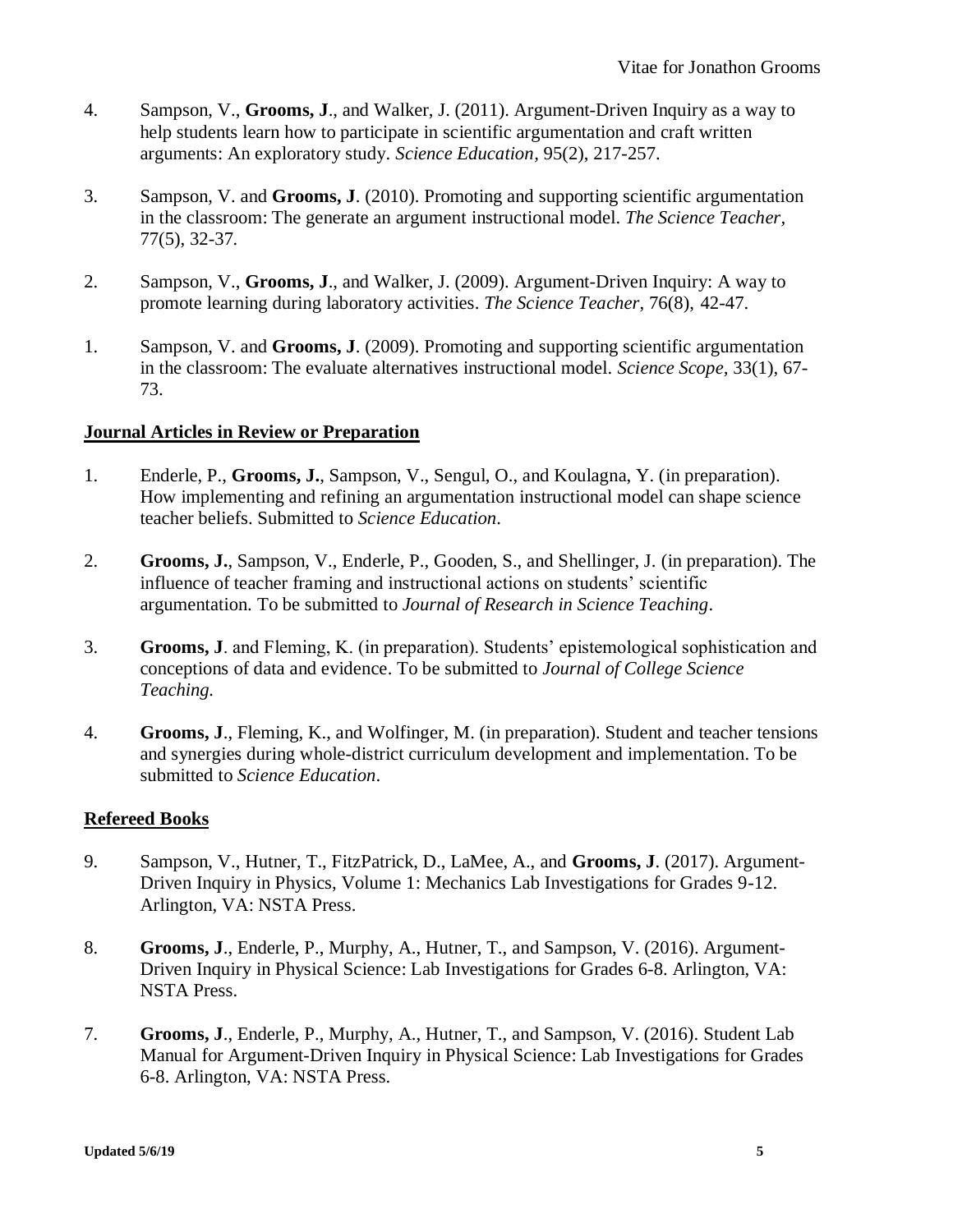- 4. Sampson, V., **Grooms, J**., and Walker, J. (2011). Argument-Driven Inquiry as a way to help students learn how to participate in scientific argumentation and craft written arguments: An exploratory study. *Science Education,* 95(2), 217-257.
- 3. Sampson, V. and **Grooms, J**. (2010). Promoting and supporting scientific argumentation in the classroom: The generate an argument instructional model. *The Science Teacher,* 77(5), 32-37*.*
- 2. Sampson, V., **Grooms, J**., and Walker, J. (2009). Argument-Driven Inquiry: A way to promote learning during laboratory activities. *The Science Teacher*, 76(8), 42-47.
- 1. Sampson, V. and **Grooms, J**. (2009). Promoting and supporting scientific argumentation in the classroom: The evaluate alternatives instructional model. *Science Scope,* 33(1), 67- 73.

## **Journal Articles in Review or Preparation**

- 1. Enderle, P., **Grooms, J.**, Sampson, V., Sengul, O., and Koulagna, Y. (in preparation). How implementing and refining an argumentation instructional model can shape science teacher beliefs. Submitted to *Science Education*.
- 2. **Grooms, J.**, Sampson, V., Enderle, P., Gooden, S., and Shellinger, J. (in preparation). The influence of teacher framing and instructional actions on students' scientific argumentation. To be submitted to *Journal of Research in Science Teaching*.
- 3. **Grooms, J**. and Fleming, K. (in preparation). Students' epistemological sophistication and conceptions of data and evidence. To be submitted to *Journal of College Science Teaching.*
- 4. **Grooms, J**., Fleming, K., and Wolfinger, M. (in preparation). Student and teacher tensions and synergies during whole-district curriculum development and implementation. To be submitted to *Science Education*.

## **Refereed Books**

- 9. Sampson, V., Hutner, T., FitzPatrick, D., LaMee, A., and **Grooms, J**. (2017). Argument-Driven Inquiry in Physics, Volume 1: Mechanics Lab Investigations for Grades 9-12. Arlington, VA: NSTA Press.
- 8. **Grooms, J**., Enderle, P., Murphy, A., Hutner, T., and Sampson, V. (2016). Argument-Driven Inquiry in Physical Science: Lab Investigations for Grades 6-8. Arlington, VA: NSTA Press.
- 7. **Grooms, J**., Enderle, P., Murphy, A., Hutner, T., and Sampson, V. (2016). Student Lab Manual for Argument-Driven Inquiry in Physical Science: Lab Investigations for Grades 6-8. Arlington, VA: NSTA Press.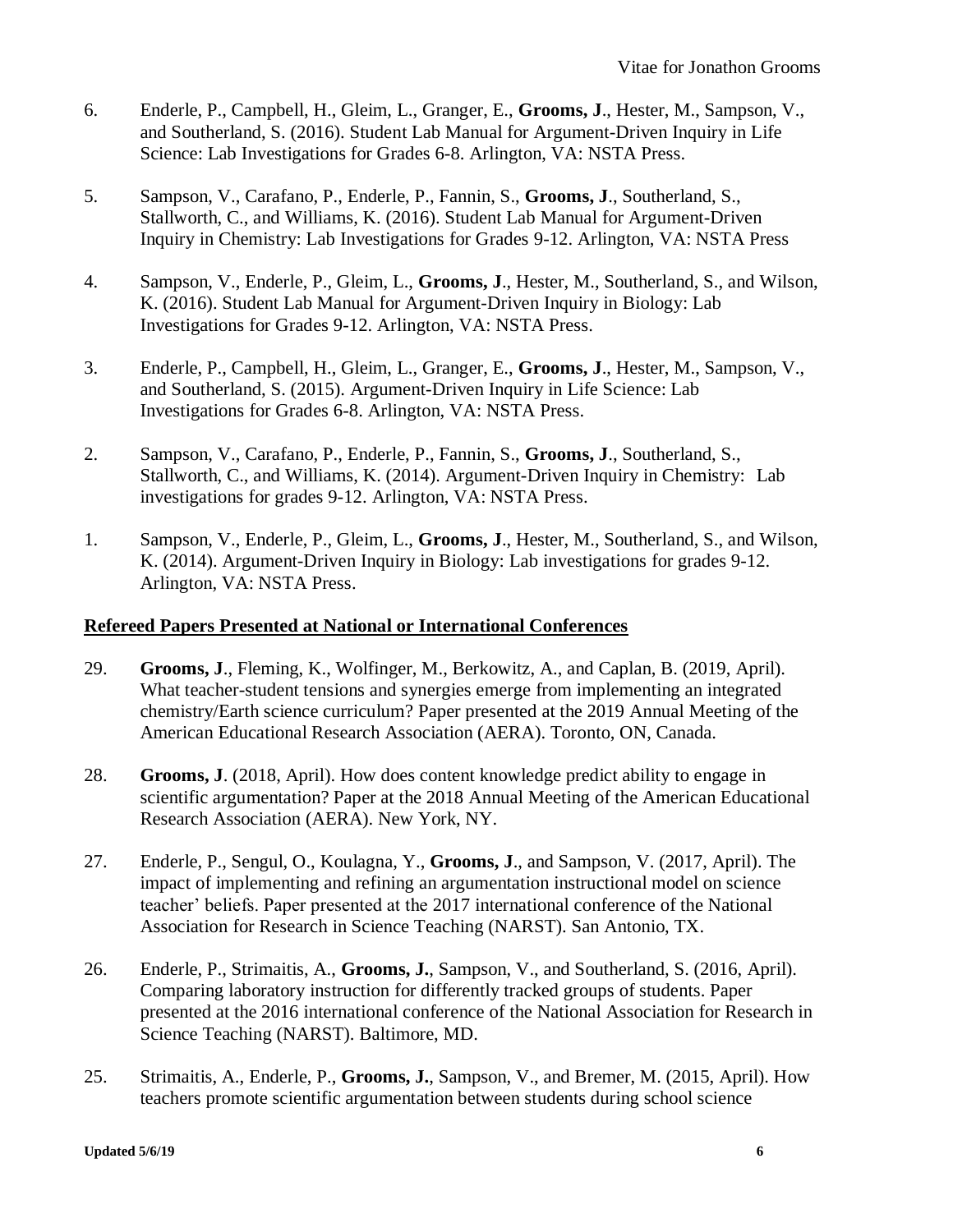- 6. Enderle, P., Campbell, H., Gleim, L., Granger, E., **Grooms, J**., Hester, M., Sampson, V., and Southerland, S. (2016). Student Lab Manual for Argument-Driven Inquiry in Life Science: Lab Investigations for Grades 6-8. Arlington, VA: NSTA Press.
- 5. Sampson, V., Carafano, P., Enderle, P., Fannin, S., **Grooms, J**., Southerland, S., Stallworth, C., and Williams, K. (2016). Student Lab Manual for Argument-Driven Inquiry in Chemistry: Lab Investigations for Grades 9-12. Arlington, VA: NSTA Press
- 4. Sampson, V., Enderle, P., Gleim, L., **Grooms, J**., Hester, M., Southerland, S., and Wilson, K. (2016). Student Lab Manual for Argument-Driven Inquiry in Biology: Lab Investigations for Grades 9-12. Arlington, VA: NSTA Press.
- 3. Enderle, P., Campbell, H., Gleim, L., Granger, E., **Grooms, J**., Hester, M., Sampson, V., and Southerland, S. (2015). Argument-Driven Inquiry in Life Science: Lab Investigations for Grades 6-8. Arlington, VA: NSTA Press.
- 2. Sampson, V., Carafano, P., Enderle, P., Fannin, S., **Grooms, J**., Southerland, S., Stallworth, C., and Williams, K. (2014). Argument-Driven Inquiry in Chemistry: Lab investigations for grades 9-12. Arlington, VA: NSTA Press.
- 1. Sampson, V., Enderle, P., Gleim, L., **Grooms, J**., Hester, M., Southerland, S., and Wilson, K. (2014). Argument-Driven Inquiry in Biology: Lab investigations for grades 9-12. Arlington, VA: NSTA Press.

## **Refereed Papers Presented at National or International Conferences**

- 29. **Grooms, J**., Fleming, K., Wolfinger, M., Berkowitz, A., and Caplan, B. (2019, April). What teacher-student tensions and synergies emerge from implementing an integrated chemistry/Earth science curriculum? Paper presented at the 2019 Annual Meeting of the American Educational Research Association (AERA). Toronto, ON, Canada.
- 28. **Grooms, J**. (2018, April). How does content knowledge predict ability to engage in scientific argumentation? Paper at the 2018 Annual Meeting of the American Educational Research Association (AERA). New York, NY.
- 27. Enderle, P., Sengul, O., Koulagna, Y., **Grooms, J**., and Sampson, V. (2017, April). The impact of implementing and refining an argumentation instructional model on science teacher' beliefs. Paper presented at the 2017 international conference of the National Association for Research in Science Teaching (NARST). San Antonio, TX.
- 26. Enderle, P., Strimaitis, A., **Grooms, J.**, Sampson, V., and Southerland, S. (2016, April). Comparing laboratory instruction for differently tracked groups of students. Paper presented at the 2016 international conference of the National Association for Research in Science Teaching (NARST). Baltimore, MD.
- 25. Strimaitis, A., Enderle, P., **Grooms, J.**, Sampson, V., and Bremer, M. (2015, April). How teachers promote scientific argumentation between students during school science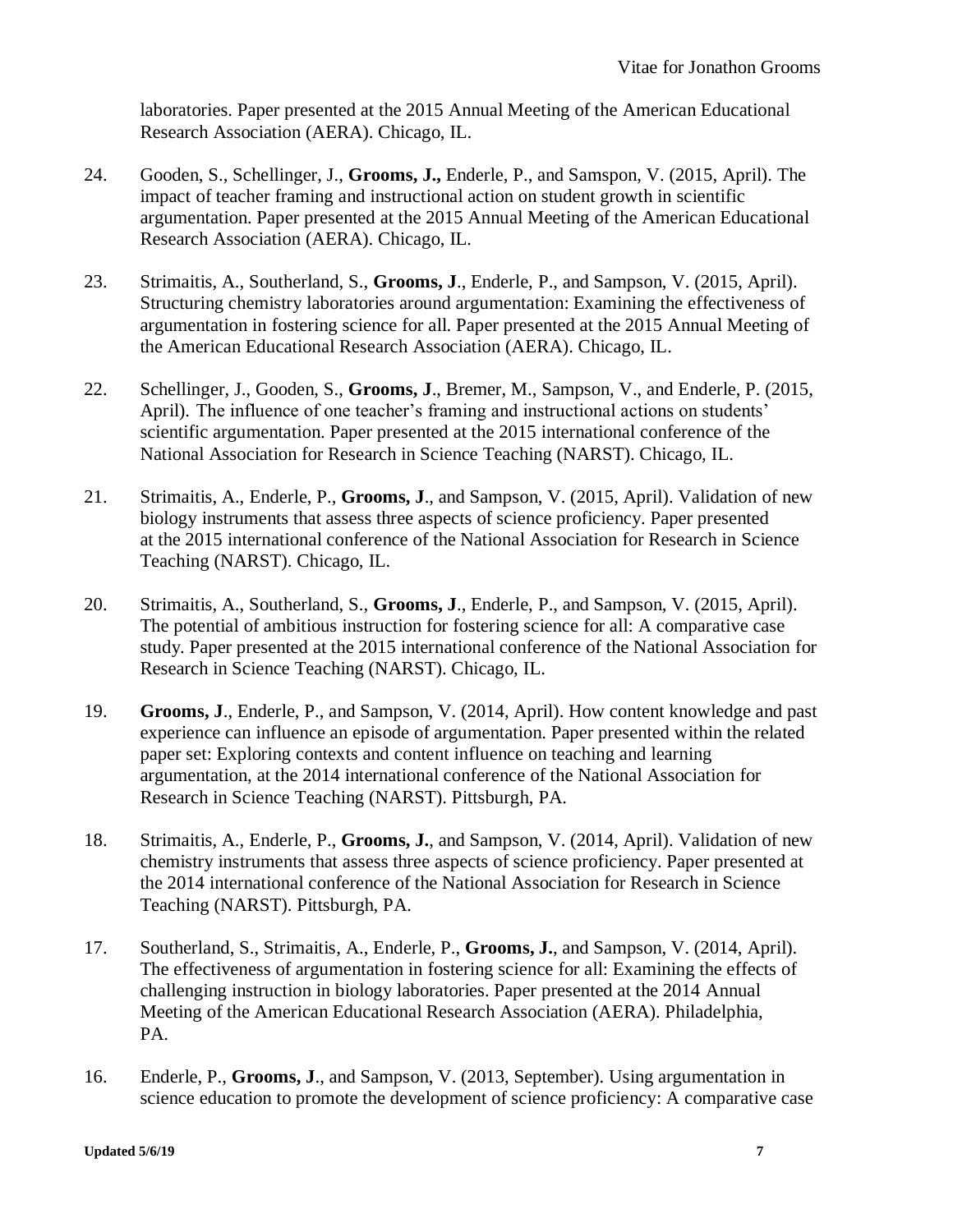laboratories. Paper presented at the 2015 Annual Meeting of the American Educational Research Association (AERA). Chicago, IL.

- 24. Gooden, S., Schellinger, J., **Grooms, J.,** Enderle, P., and Samspon, V. (2015, April). The impact of teacher framing and instructional action on student growth in scientific argumentation. Paper presented at the 2015 Annual Meeting of the American Educational Research Association (AERA). Chicago, IL.
- 23. Strimaitis, A., Southerland, S., **Grooms, J**., Enderle, P., and Sampson, V. (2015, April). Structuring chemistry laboratories around argumentation: Examining the effectiveness of argumentation in fostering science for all. Paper presented at the 2015 Annual Meeting of the American Educational Research Association (AERA). Chicago, IL.
- 22. Schellinger, J., Gooden, S., **Grooms, J**., Bremer, M., Sampson, V., and Enderle, P. (2015, April). The influence of one teacher's framing and instructional actions on students' scientific argumentation. Paper presented at the 2015 international conference of the National Association for Research in Science Teaching (NARST). Chicago, IL.
- 21. Strimaitis, A., Enderle, P., **Grooms, J**., and Sampson, V. (2015, April). Validation of new biology instruments that assess three aspects of science proficiency. Paper presented at the 2015 international conference of the National Association for Research in Science Teaching (NARST). Chicago, IL.
- 20. Strimaitis, A., Southerland, S., **Grooms, J**., Enderle, P., and Sampson, V. (2015, April). The potential of ambitious instruction for fostering science for all: A comparative case study. Paper presented at the 2015 international conference of the National Association for Research in Science Teaching (NARST). Chicago, IL.
- 19. **Grooms, J**., Enderle, P., and Sampson, V. (2014, April). How content knowledge and past experience can influence an episode of argumentation. Paper presented within the related paper set: Exploring contexts and content influence on teaching and learning argumentation, at the 2014 international conference of the National Association for Research in Science Teaching (NARST). Pittsburgh, PA.
- 18. Strimaitis, A., Enderle, P., **Grooms, J.**, and Sampson, V. (2014, April). Validation of new chemistry instruments that assess three aspects of science proficiency. Paper presented at the 2014 international conference of the National Association for Research in Science Teaching (NARST). Pittsburgh, PA.
- 17. Southerland, S., Strimaitis, A., Enderle, P., **Grooms, J.**, and Sampson, V. (2014, April). The effectiveness of argumentation in fostering science for all: Examining the effects of challenging instruction in biology laboratories. Paper presented at the 2014 Annual Meeting of the American Educational Research Association (AERA). Philadelphia, PA.
- 16. Enderle, P., **Grooms, J**., and Sampson, V. (2013, September). Using argumentation in science education to promote the development of science proficiency: A comparative case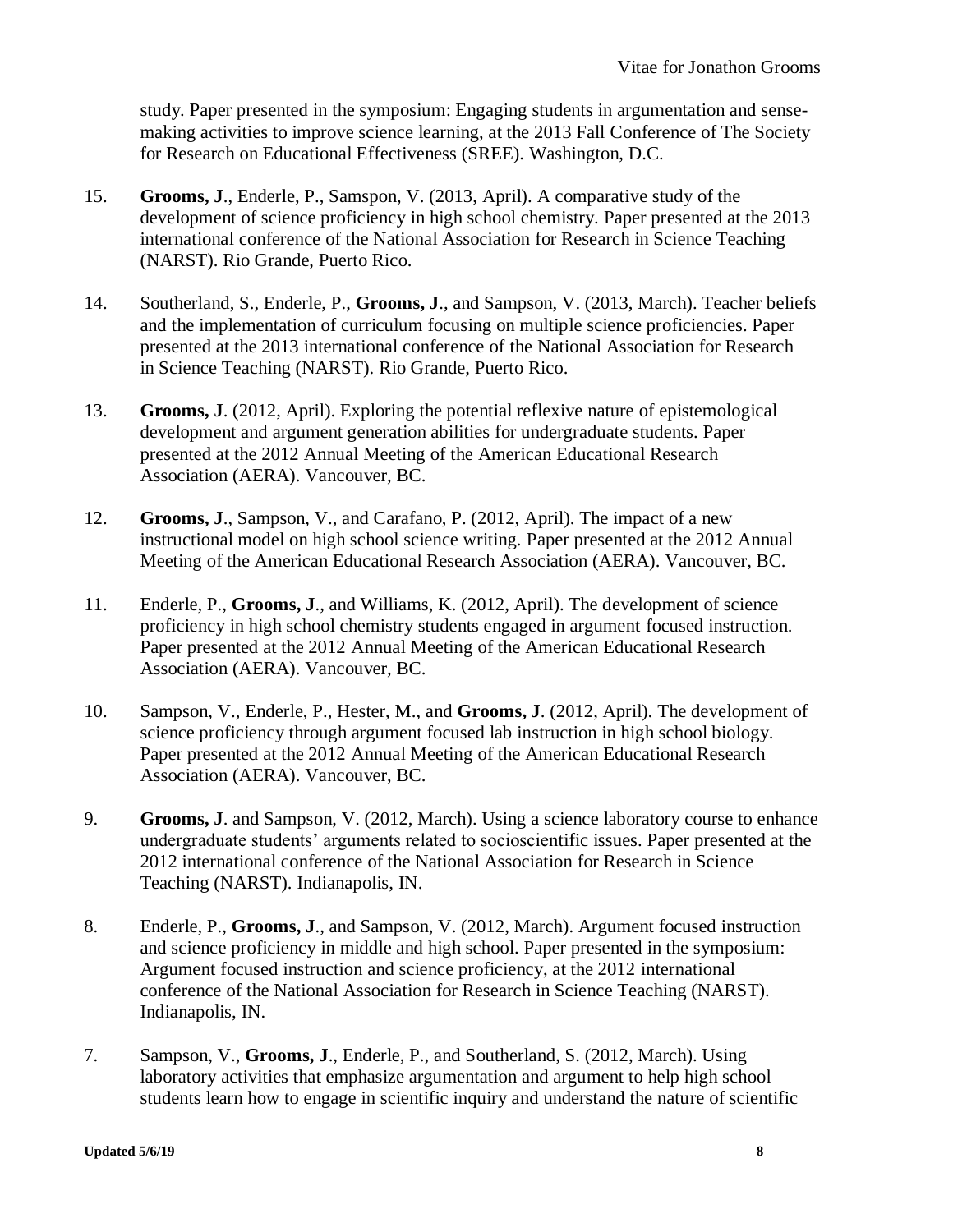study. Paper presented in the symposium: Engaging students in argumentation and sensemaking activities to improve science learning, at the 2013 Fall Conference of The Society for Research on Educational Effectiveness (SREE). Washington, D.C.

- 15. **Grooms, J**., Enderle, P., Samspon, V. (2013, April). A comparative study of the development of science proficiency in high school chemistry. Paper presented at the 2013 international conference of the National Association for Research in Science Teaching (NARST). Rio Grande, Puerto Rico.
- 14. Southerland, S., Enderle, P., **Grooms, J**., and Sampson, V. (2013, March). Teacher beliefs and the implementation of curriculum focusing on multiple science proficiencies. Paper presented at the 2013 international conference of the National Association for Research in Science Teaching (NARST). Rio Grande, Puerto Rico.
- 13. **Grooms, J**. (2012, April). Exploring the potential reflexive nature of epistemological development and argument generation abilities for undergraduate students. Paper presented at the 2012 Annual Meeting of the American Educational Research Association (AERA). Vancouver, BC.
- 12. **Grooms, J**., Sampson, V., and Carafano, P. (2012, April). The impact of a new instructional model on high school science writing. Paper presented at the 2012 Annual Meeting of the American Educational Research Association (AERA). Vancouver, BC.
- 11. Enderle, P., **Grooms, J**., and Williams, K. (2012, April). The development of science proficiency in high school chemistry students engaged in argument focused instruction. Paper presented at the 2012 Annual Meeting of the American Educational Research Association (AERA). Vancouver, BC.
- 10. Sampson, V., Enderle, P., Hester, M., and **Grooms, J**. (2012, April). The development of science proficiency through argument focused lab instruction in high school biology. Paper presented at the 2012 Annual Meeting of the American Educational Research Association (AERA). Vancouver, BC.
- 9. **Grooms, J**. and Sampson, V. (2012, March). Using a science laboratory course to enhance undergraduate students' arguments related to socioscientific issues. Paper presented at the 2012 international conference of the National Association for Research in Science Teaching (NARST). Indianapolis, IN.
- 8. Enderle, P., **Grooms, J**., and Sampson, V. (2012, March). Argument focused instruction and science proficiency in middle and high school. Paper presented in the symposium: Argument focused instruction and science proficiency, at the 2012 international conference of the National Association for Research in Science Teaching (NARST). Indianapolis, IN.
- 7. Sampson, V., **Grooms, J**., Enderle, P., and Southerland, S. (2012, March). Using laboratory activities that emphasize argumentation and argument to help high school students learn how to engage in scientific inquiry and understand the nature of scientific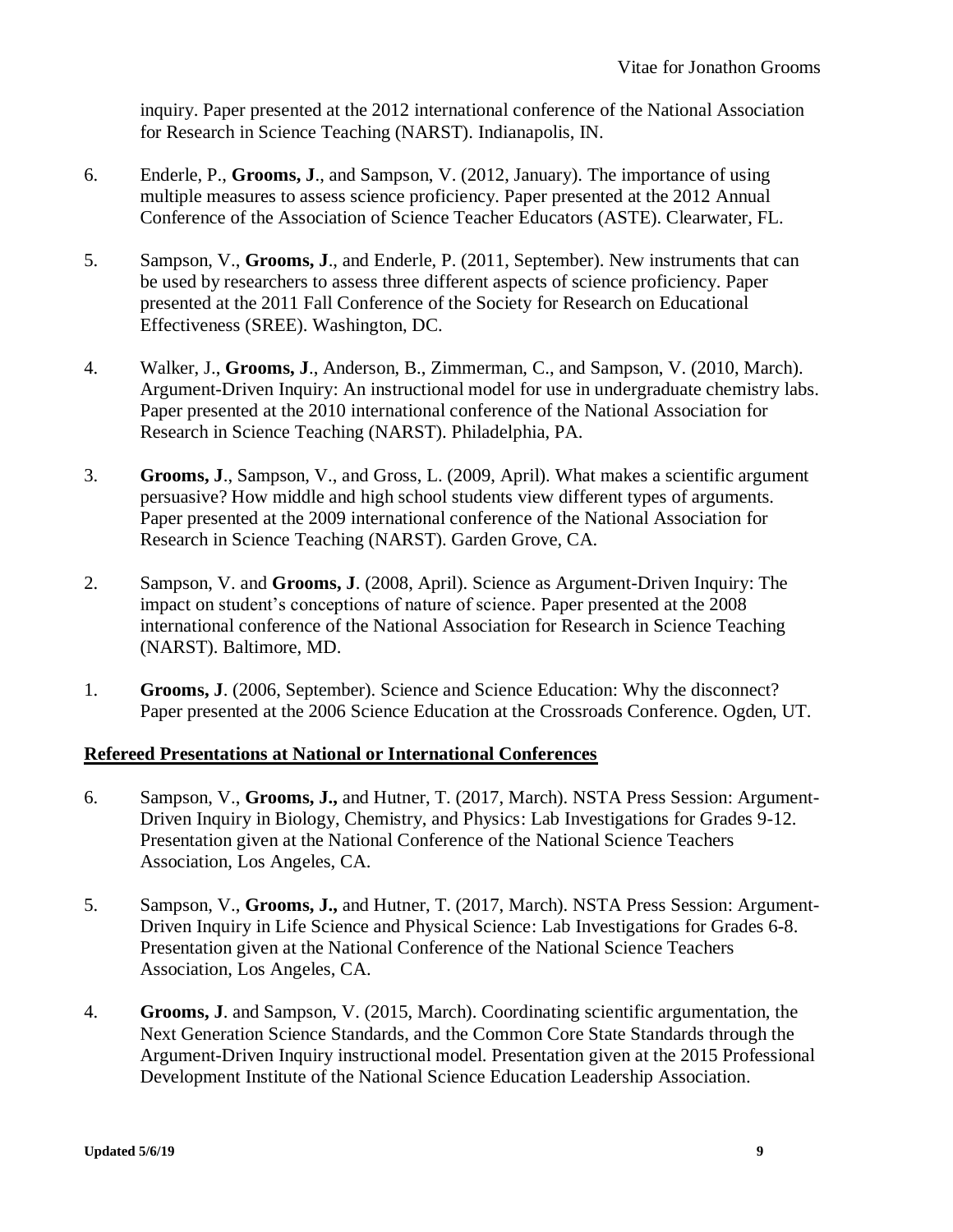inquiry. Paper presented at the 2012 international conference of the National Association for Research in Science Teaching (NARST). Indianapolis, IN.

- 6. Enderle, P., **Grooms, J**., and Sampson, V. (2012, January). The importance of using multiple measures to assess science proficiency. Paper presented at the 2012 Annual Conference of the Association of Science Teacher Educators (ASTE). Clearwater, FL.
- 5. Sampson, V., **Grooms, J**., and Enderle, P. (2011, September). New instruments that can be used by researchers to assess three different aspects of science proficiency. Paper presented at the 2011 Fall Conference of the Society for Research on Educational Effectiveness (SREE). Washington, DC.
- 4. Walker, J., **Grooms, J**., Anderson, B., Zimmerman, C., and Sampson, V. (2010, March). Argument-Driven Inquiry: An instructional model for use in undergraduate chemistry labs. Paper presented at the 2010 international conference of the National Association for Research in Science Teaching (NARST). Philadelphia, PA.
- 3. **Grooms, J**., Sampson, V., and Gross, L. (2009, April). What makes a scientific argument persuasive? How middle and high school students view different types of arguments. Paper presented at the 2009 international conference of the National Association for Research in Science Teaching (NARST). Garden Grove, CA.
- 2. Sampson, V. and **Grooms, J**. (2008, April). Science as Argument-Driven Inquiry: The impact on student's conceptions of nature of science. Paper presented at the 2008 international conference of the National Association for Research in Science Teaching (NARST). Baltimore, MD.
- 1. **Grooms, J**. (2006, September). Science and Science Education: Why the disconnect? Paper presented at the 2006 Science Education at the Crossroads Conference. Ogden, UT.

#### **Refereed Presentations at National or International Conferences**

- 6. Sampson, V., **Grooms, J.,** and Hutner, T. (2017, March). NSTA Press Session: Argument-Driven Inquiry in Biology, Chemistry, and Physics: Lab Investigations for Grades 9-12. Presentation given at the National Conference of the National Science Teachers Association, Los Angeles, CA.
- 5. Sampson, V., **Grooms, J.,** and Hutner, T. (2017, March). NSTA Press Session: Argument-Driven Inquiry in Life Science and Physical Science: Lab Investigations for Grades 6-8. Presentation given at the National Conference of the National Science Teachers Association, Los Angeles, CA.
- 4. **Grooms, J**. and Sampson, V. (2015, March). Coordinating scientific argumentation, the Next Generation Science Standards, and the Common Core State Standards through the Argument-Driven Inquiry instructional model. Presentation given at the 2015 Professional Development Institute of the National Science Education Leadership Association.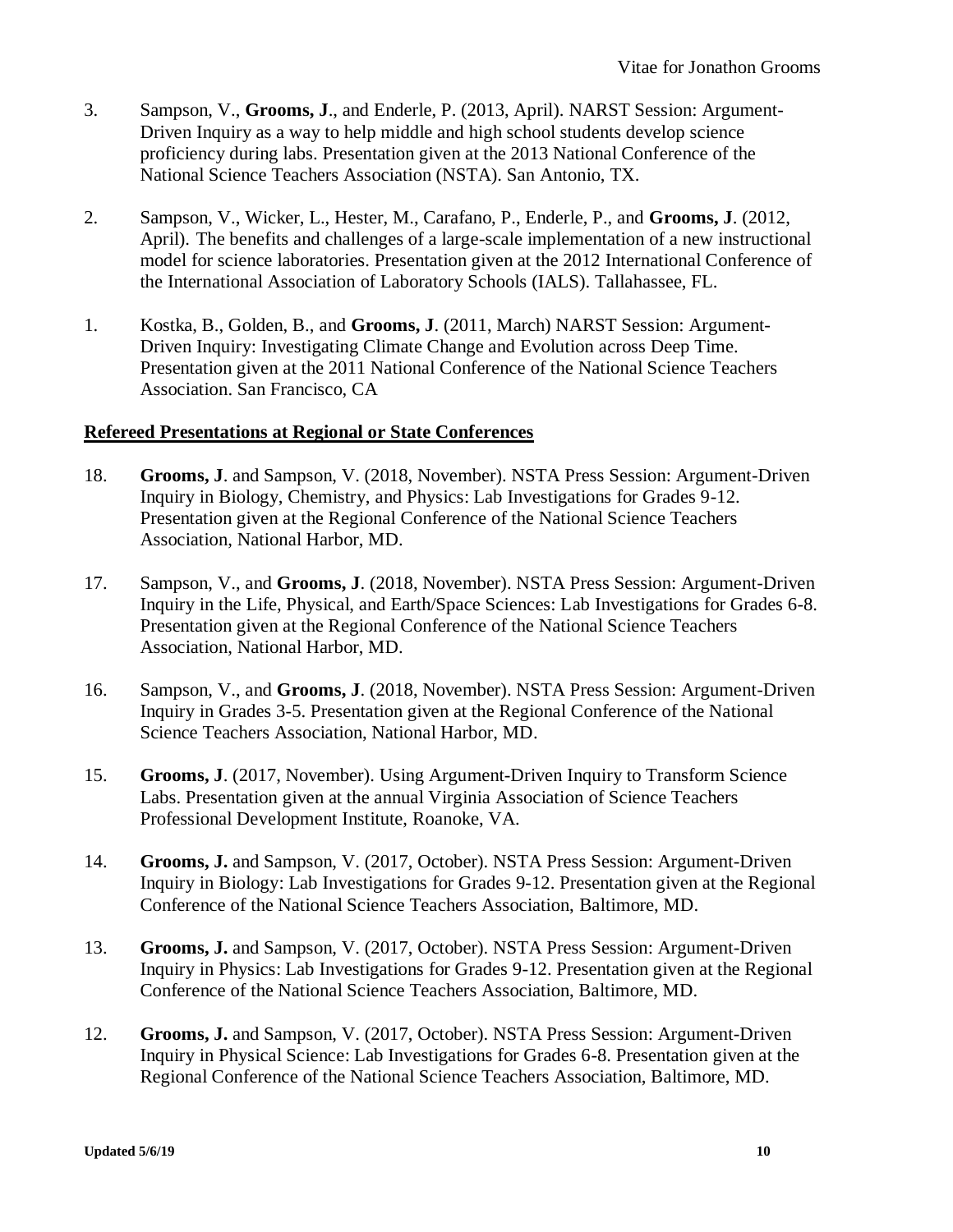- 3. Sampson, V., **Grooms, J**., and Enderle, P. (2013, April). NARST Session: Argument-Driven Inquiry as a way to help middle and high school students develop science proficiency during labs. Presentation given at the 2013 National Conference of the National Science Teachers Association (NSTA). San Antonio, TX.
- 2. Sampson, V., Wicker, L., Hester, M., Carafano, P., Enderle, P., and **Grooms, J**. (2012, April). The benefits and challenges of a large-scale implementation of a new instructional model for science laboratories. Presentation given at the 2012 International Conference of the International Association of Laboratory Schools (IALS). Tallahassee, FL.
- 1. Kostka, B., Golden, B., and **Grooms, J**. (2011, March) NARST Session: Argument-Driven Inquiry: Investigating Climate Change and Evolution across Deep Time. Presentation given at the 2011 National Conference of the National Science Teachers Association. San Francisco, CA

### **Refereed Presentations at Regional or State Conferences**

- 18. **Grooms, J**. and Sampson, V. (2018, November). NSTA Press Session: Argument-Driven Inquiry in Biology, Chemistry, and Physics: Lab Investigations for Grades 9-12. Presentation given at the Regional Conference of the National Science Teachers Association, National Harbor, MD.
- 17. Sampson, V., and **Grooms, J**. (2018, November). NSTA Press Session: Argument-Driven Inquiry in the Life, Physical, and Earth/Space Sciences: Lab Investigations for Grades 6-8. Presentation given at the Regional Conference of the National Science Teachers Association, National Harbor, MD.
- 16. Sampson, V., and **Grooms, J**. (2018, November). NSTA Press Session: Argument-Driven Inquiry in Grades 3-5. Presentation given at the Regional Conference of the National Science Teachers Association, National Harbor, MD.
- 15. **Grooms, J**. (2017, November). Using Argument-Driven Inquiry to Transform Science Labs. Presentation given at the annual Virginia Association of Science Teachers Professional Development Institute, Roanoke, VA.
- 14. **Grooms, J.** and Sampson, V. (2017, October). NSTA Press Session: Argument-Driven Inquiry in Biology: Lab Investigations for Grades 9-12. Presentation given at the Regional Conference of the National Science Teachers Association, Baltimore, MD.
- 13. **Grooms, J.** and Sampson, V. (2017, October). NSTA Press Session: Argument-Driven Inquiry in Physics: Lab Investigations for Grades 9-12. Presentation given at the Regional Conference of the National Science Teachers Association, Baltimore, MD.
- 12. **Grooms, J.** and Sampson, V. (2017, October). NSTA Press Session: Argument-Driven Inquiry in Physical Science: Lab Investigations for Grades 6-8. Presentation given at the Regional Conference of the National Science Teachers Association, Baltimore, MD.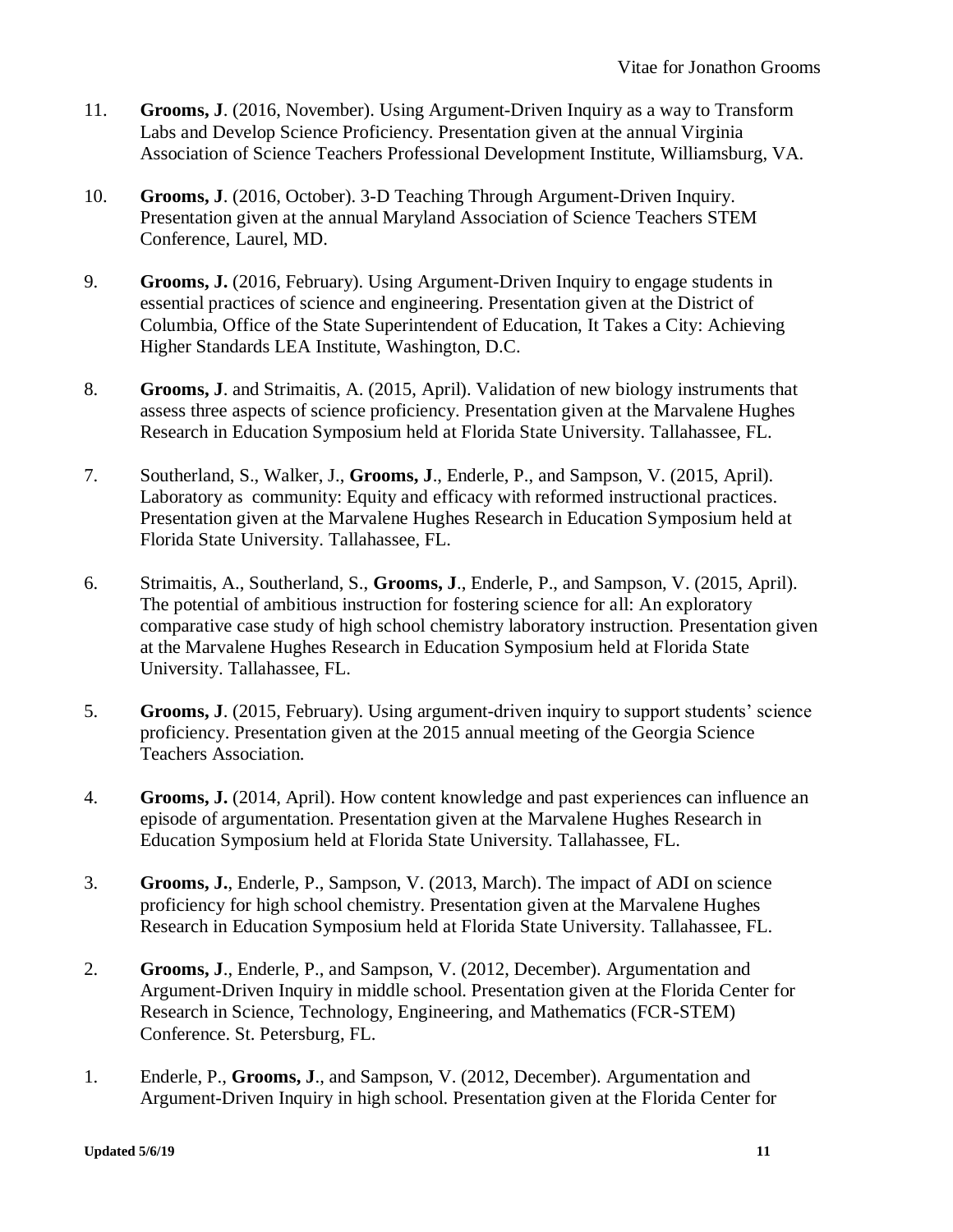- 11. **Grooms, J**. (2016, November). Using Argument-Driven Inquiry as a way to Transform Labs and Develop Science Proficiency. Presentation given at the annual Virginia Association of Science Teachers Professional Development Institute, Williamsburg, VA.
- 10. **Grooms, J**. (2016, October). 3-D Teaching Through Argument-Driven Inquiry. Presentation given at the annual Maryland Association of Science Teachers STEM Conference, Laurel, MD.
- 9. **Grooms, J.** (2016, February). Using Argument-Driven Inquiry to engage students in essential practices of science and engineering. Presentation given at the District of Columbia, Office of the State Superintendent of Education, It Takes a City: Achieving Higher Standards LEA Institute, Washington, D.C.
- 8. **Grooms, J**. and Strimaitis, A. (2015, April). Validation of new biology instruments that assess three aspects of science proficiency. Presentation given at the Marvalene Hughes Research in Education Symposium held at Florida State University. Tallahassee, FL.
- 7. Southerland, S., Walker, J., **Grooms, J**., Enderle, P., and Sampson, V. (2015, April). Laboratory as community: Equity and efficacy with reformed instructional practices. Presentation given at the Marvalene Hughes Research in Education Symposium held at Florida State University. Tallahassee, FL.
- 6. Strimaitis, A., Southerland, S., **Grooms, J**., Enderle, P., and Sampson, V. (2015, April). The potential of ambitious instruction for fostering science for all: An exploratory comparative case study of high school chemistry laboratory instruction. Presentation given at the Marvalene Hughes Research in Education Symposium held at Florida State University. Tallahassee, FL.
- 5. **Grooms, J**. (2015, February). Using argument-driven inquiry to support students' science proficiency. Presentation given at the 2015 annual meeting of the Georgia Science Teachers Association.
- 4. **Grooms, J.** (2014, April). How content knowledge and past experiences can influence an episode of argumentation. Presentation given at the Marvalene Hughes Research in Education Symposium held at Florida State University. Tallahassee, FL.
- 3. **Grooms, J.**, Enderle, P., Sampson, V. (2013, March). The impact of ADI on science proficiency for high school chemistry. Presentation given at the Marvalene Hughes Research in Education Symposium held at Florida State University. Tallahassee, FL.
- 2. **Grooms, J**., Enderle, P., and Sampson, V. (2012, December). Argumentation and Argument-Driven Inquiry in middle school. Presentation given at the Florida Center for Research in Science, Technology, Engineering, and Mathematics (FCR-STEM) Conference. St. Petersburg, FL.
- 1. Enderle, P., **Grooms, J**., and Sampson, V. (2012, December). Argumentation and Argument-Driven Inquiry in high school. Presentation given at the Florida Center for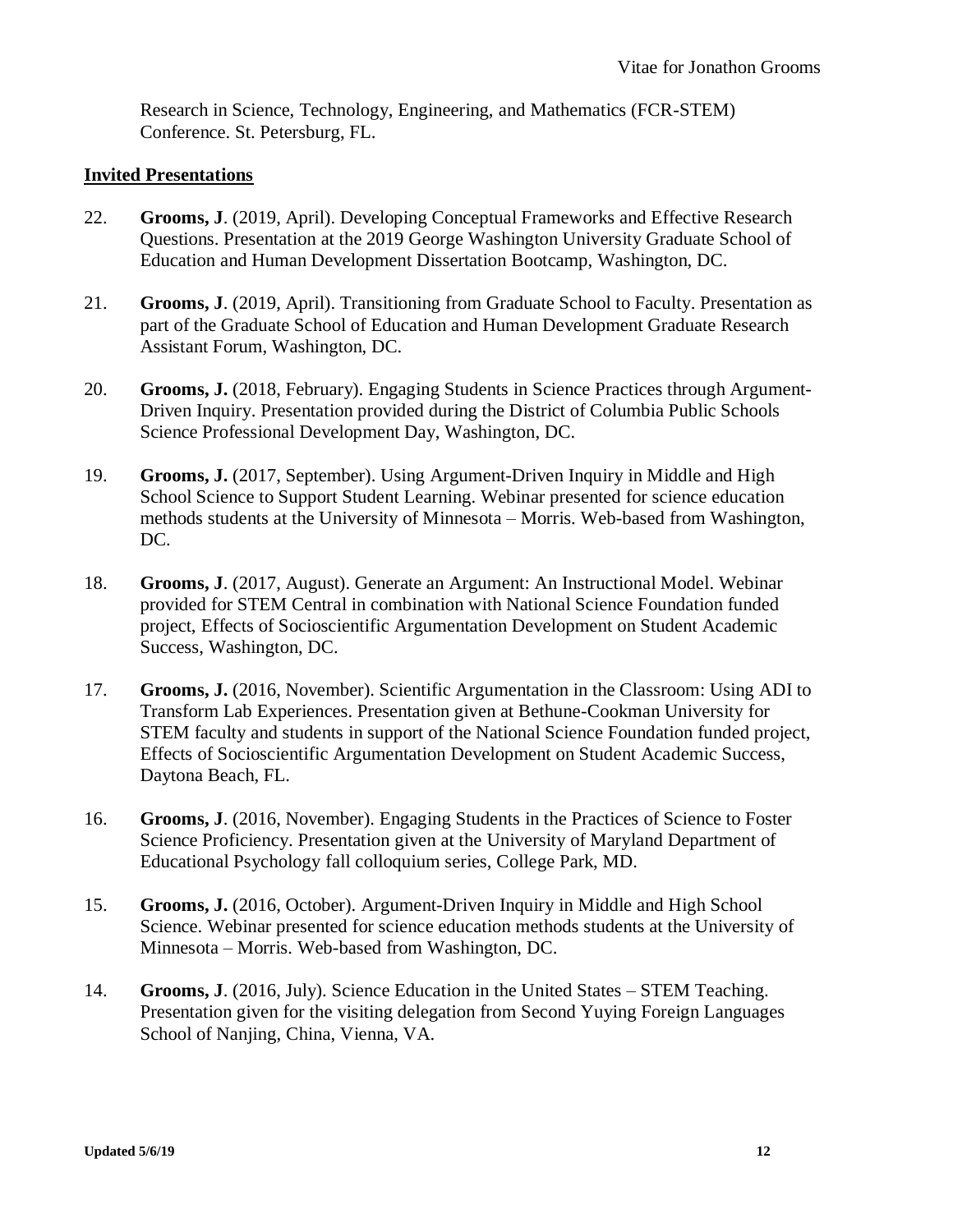Research in Science, Technology, Engineering, and Mathematics (FCR-STEM) Conference. St. Petersburg, FL.

### **Invited Presentations**

- 22. **Grooms, J**. (2019, April). Developing Conceptual Frameworks and Effective Research Questions. Presentation at the 2019 George Washington University Graduate School of Education and Human Development Dissertation Bootcamp, Washington, DC.
- 21. **Grooms, J**. (2019, April). Transitioning from Graduate School to Faculty. Presentation as part of the Graduate School of Education and Human Development Graduate Research Assistant Forum, Washington, DC.
- 20. **Grooms, J.** (2018, February). Engaging Students in Science Practices through Argument-Driven Inquiry. Presentation provided during the District of Columbia Public Schools Science Professional Development Day, Washington, DC.
- 19. **Grooms, J.** (2017, September). Using Argument-Driven Inquiry in Middle and High School Science to Support Student Learning. Webinar presented for science education methods students at the University of Minnesota – Morris. Web-based from Washington, DC.
- 18. **Grooms, J**. (2017, August). Generate an Argument: An Instructional Model. Webinar provided for STEM Central in combination with National Science Foundation funded project, Effects of Socioscientific Argumentation Development on Student Academic Success, Washington, DC.
- 17. **Grooms, J.** (2016, November). Scientific Argumentation in the Classroom: Using ADI to Transform Lab Experiences. Presentation given at Bethune-Cookman University for STEM faculty and students in support of the National Science Foundation funded project, Effects of Socioscientific Argumentation Development on Student Academic Success, Daytona Beach, FL.
- 16. **Grooms, J**. (2016, November). Engaging Students in the Practices of Science to Foster Science Proficiency. Presentation given at the University of Maryland Department of Educational Psychology fall colloquium series, College Park, MD.
- 15. **Grooms, J.** (2016, October). Argument-Driven Inquiry in Middle and High School Science. Webinar presented for science education methods students at the University of Minnesota – Morris. Web-based from Washington, DC.
- 14. **Grooms, J**. (2016, July). Science Education in the United States STEM Teaching. Presentation given for the visiting delegation from Second Yuying Foreign Languages School of Nanjing, China, Vienna, VA.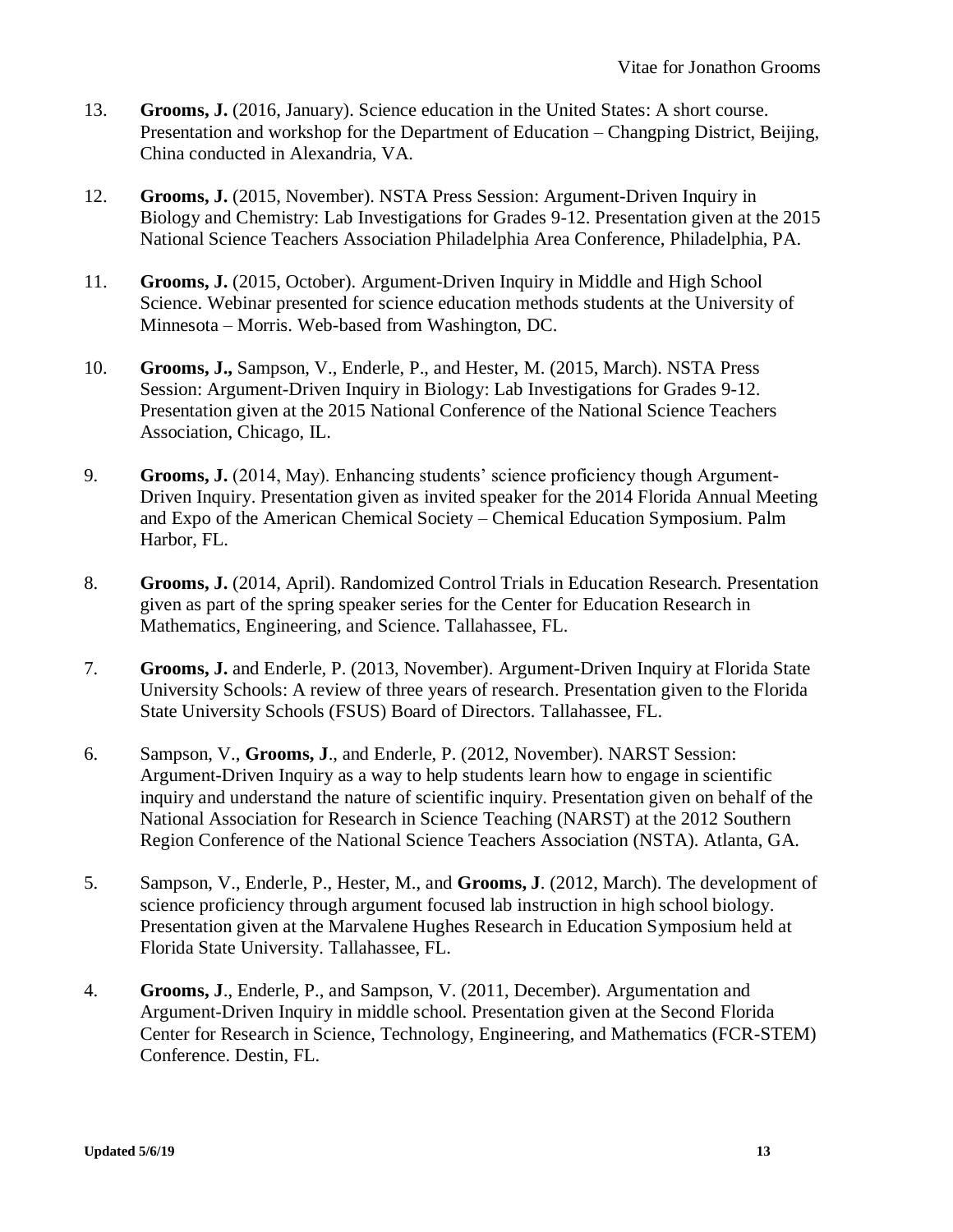- 13. **Grooms, J.** (2016, January). Science education in the United States: A short course. Presentation and workshop for the Department of Education – Changping District, Beijing, China conducted in Alexandria, VA.
- 12. **Grooms, J.** (2015, November). NSTA Press Session: Argument-Driven Inquiry in Biology and Chemistry: Lab Investigations for Grades 9-12. Presentation given at the 2015 National Science Teachers Association Philadelphia Area Conference, Philadelphia, PA.
- 11. **Grooms, J.** (2015, October). Argument-Driven Inquiry in Middle and High School Science. Webinar presented for science education methods students at the University of Minnesota – Morris. Web-based from Washington, DC.
- 10. **Grooms, J.,** Sampson, V., Enderle, P., and Hester, M. (2015, March). NSTA Press Session: Argument-Driven Inquiry in Biology: Lab Investigations for Grades 9-12. Presentation given at the 2015 National Conference of the National Science Teachers Association, Chicago, IL.
- 9. **Grooms, J.** (2014, May). Enhancing students' science proficiency though Argument-Driven Inquiry. Presentation given as invited speaker for the 2014 Florida Annual Meeting and Expo of the American Chemical Society – Chemical Education Symposium. Palm Harbor, FL.
- 8. **Grooms, J.** (2014, April). Randomized Control Trials in Education Research. Presentation given as part of the spring speaker series for the Center for Education Research in Mathematics, Engineering, and Science. Tallahassee, FL.
- 7. **Grooms, J.** and Enderle, P. (2013, November). Argument-Driven Inquiry at Florida State University Schools: A review of three years of research. Presentation given to the Florida State University Schools (FSUS) Board of Directors. Tallahassee, FL.
- 6. Sampson, V., **Grooms, J**., and Enderle, P. (2012, November). NARST Session: Argument-Driven Inquiry as a way to help students learn how to engage in scientific inquiry and understand the nature of scientific inquiry. Presentation given on behalf of the National Association for Research in Science Teaching (NARST) at the 2012 Southern Region Conference of the National Science Teachers Association (NSTA). Atlanta, GA.
- 5. Sampson, V., Enderle, P., Hester, M., and **Grooms, J**. (2012, March). The development of science proficiency through argument focused lab instruction in high school biology. Presentation given at the Marvalene Hughes Research in Education Symposium held at Florida State University. Tallahassee, FL.
- 4. **Grooms, J**., Enderle, P., and Sampson, V. (2011, December). Argumentation and Argument-Driven Inquiry in middle school. Presentation given at the Second Florida Center for Research in Science, Technology, Engineering, and Mathematics (FCR-STEM) Conference. Destin, FL.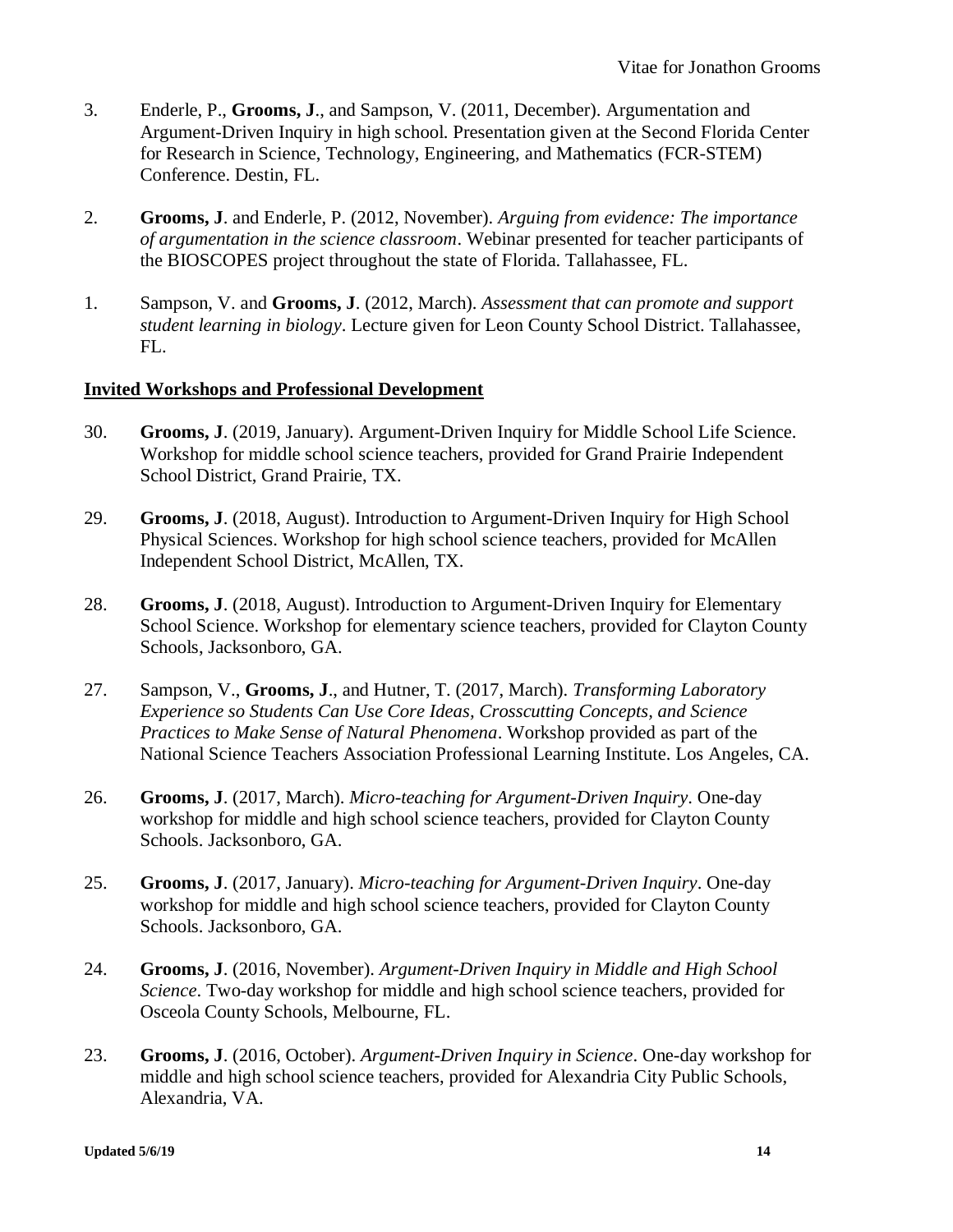- 3. Enderle, P., **Grooms, J**., and Sampson, V. (2011, December). Argumentation and Argument-Driven Inquiry in high school. Presentation given at the Second Florida Center for Research in Science, Technology, Engineering, and Mathematics (FCR-STEM) Conference. Destin, FL.
- 2. **Grooms, J**. and Enderle, P. (2012, November). *Arguing from evidence: The importance of argumentation in the science classroom*. Webinar presented for teacher participants of the BIOSCOPES project throughout the state of Florida. Tallahassee, FL.
- 1. Sampson, V. and **Grooms, J**. (2012, March). *Assessment that can promote and support student learning in biology*. Lecture given for Leon County School District. Tallahassee, FL.

### **Invited Workshops and Professional Development**

- 30. **Grooms, J**. (2019, January). Argument-Driven Inquiry for Middle School Life Science. Workshop for middle school science teachers, provided for Grand Prairie Independent School District, Grand Prairie, TX.
- 29. **Grooms, J**. (2018, August). Introduction to Argument-Driven Inquiry for High School Physical Sciences. Workshop for high school science teachers, provided for McAllen Independent School District, McAllen, TX.
- 28. **Grooms, J**. (2018, August). Introduction to Argument-Driven Inquiry for Elementary School Science. Workshop for elementary science teachers, provided for Clayton County Schools, Jacksonboro, GA.
- 27. Sampson, V., **Grooms, J**., and Hutner, T. (2017, March). *Transforming Laboratory Experience so Students Can Use Core Ideas, Crosscutting Concepts, and Science Practices to Make Sense of Natural Phenomena*. Workshop provided as part of the National Science Teachers Association Professional Learning Institute. Los Angeles, CA.
- 26. **Grooms, J**. (2017, March). *Micro-teaching for Argument-Driven Inquiry*. One-day workshop for middle and high school science teachers, provided for Clayton County Schools. Jacksonboro, GA.
- 25. **Grooms, J**. (2017, January). *Micro-teaching for Argument-Driven Inquiry*. One-day workshop for middle and high school science teachers, provided for Clayton County Schools. Jacksonboro, GA.
- 24. **Grooms, J**. (2016, November). *Argument-Driven Inquiry in Middle and High School Science*. Two-day workshop for middle and high school science teachers, provided for Osceola County Schools, Melbourne, FL.
- 23. **Grooms, J**. (2016, October). *Argument-Driven Inquiry in Science*. One-day workshop for middle and high school science teachers, provided for Alexandria City Public Schools, Alexandria, VA.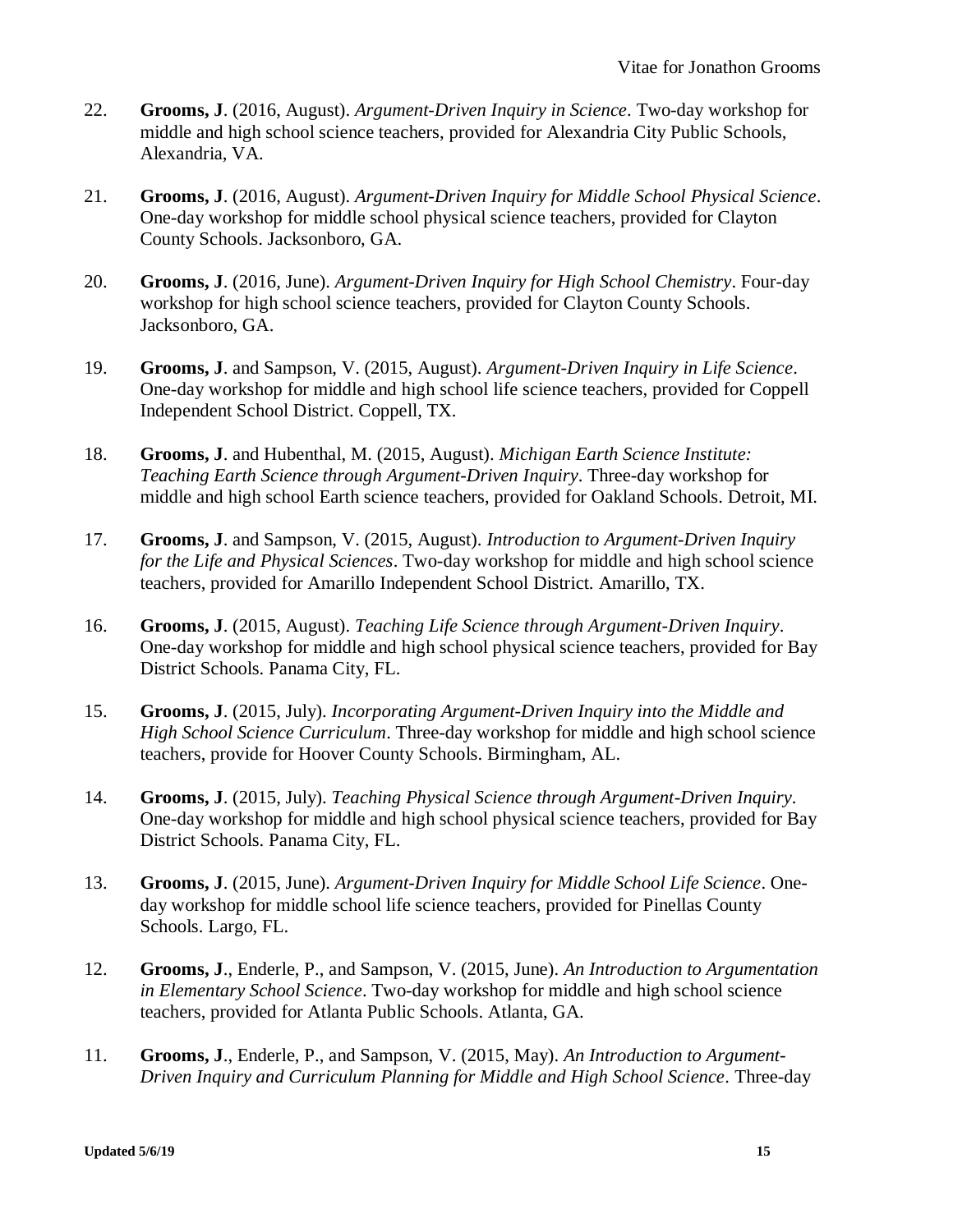- 22. **Grooms, J**. (2016, August). *Argument-Driven Inquiry in Science*. Two-day workshop for middle and high school science teachers, provided for Alexandria City Public Schools, Alexandria, VA.
- 21. **Grooms, J**. (2016, August). *Argument-Driven Inquiry for Middle School Physical Science*. One-day workshop for middle school physical science teachers, provided for Clayton County Schools. Jacksonboro, GA.
- 20. **Grooms, J**. (2016, June). *Argument-Driven Inquiry for High School Chemistry*. Four-day workshop for high school science teachers, provided for Clayton County Schools. Jacksonboro, GA.
- 19. **Grooms, J**. and Sampson, V. (2015, August). *Argument-Driven Inquiry in Life Science*. One-day workshop for middle and high school life science teachers, provided for Coppell Independent School District. Coppell, TX.
- 18. **Grooms, J**. and Hubenthal, M. (2015, August). *Michigan Earth Science Institute: Teaching Earth Science through Argument-Driven Inquiry*. Three-day workshop for middle and high school Earth science teachers, provided for Oakland Schools. Detroit, MI.
- 17. **Grooms, J**. and Sampson, V. (2015, August). *Introduction to Argument-Driven Inquiry for the Life and Physical Sciences*. Two-day workshop for middle and high school science teachers, provided for Amarillo Independent School District. Amarillo, TX.
- 16. **Grooms, J**. (2015, August). *Teaching Life Science through Argument-Driven Inquiry*. One-day workshop for middle and high school physical science teachers, provided for Bay District Schools. Panama City, FL.
- 15. **Grooms, J**. (2015, July). *Incorporating Argument-Driven Inquiry into the Middle and High School Science Curriculum*. Three-day workshop for middle and high school science teachers, provide for Hoover County Schools. Birmingham, AL.
- 14. **Grooms, J**. (2015, July). *Teaching Physical Science through Argument-Driven Inquiry*. One-day workshop for middle and high school physical science teachers, provided for Bay District Schools. Panama City, FL.
- 13. **Grooms, J**. (2015, June). *Argument-Driven Inquiry for Middle School Life Science*. Oneday workshop for middle school life science teachers, provided for Pinellas County Schools. Largo, FL.
- 12. **Grooms, J**., Enderle, P., and Sampson, V. (2015, June). *An Introduction to Argumentation in Elementary School Science*. Two-day workshop for middle and high school science teachers, provided for Atlanta Public Schools. Atlanta, GA.
- 11. **Grooms, J**., Enderle, P., and Sampson, V. (2015, May). *An Introduction to Argument-Driven Inquiry and Curriculum Planning for Middle and High School Science*. Three-day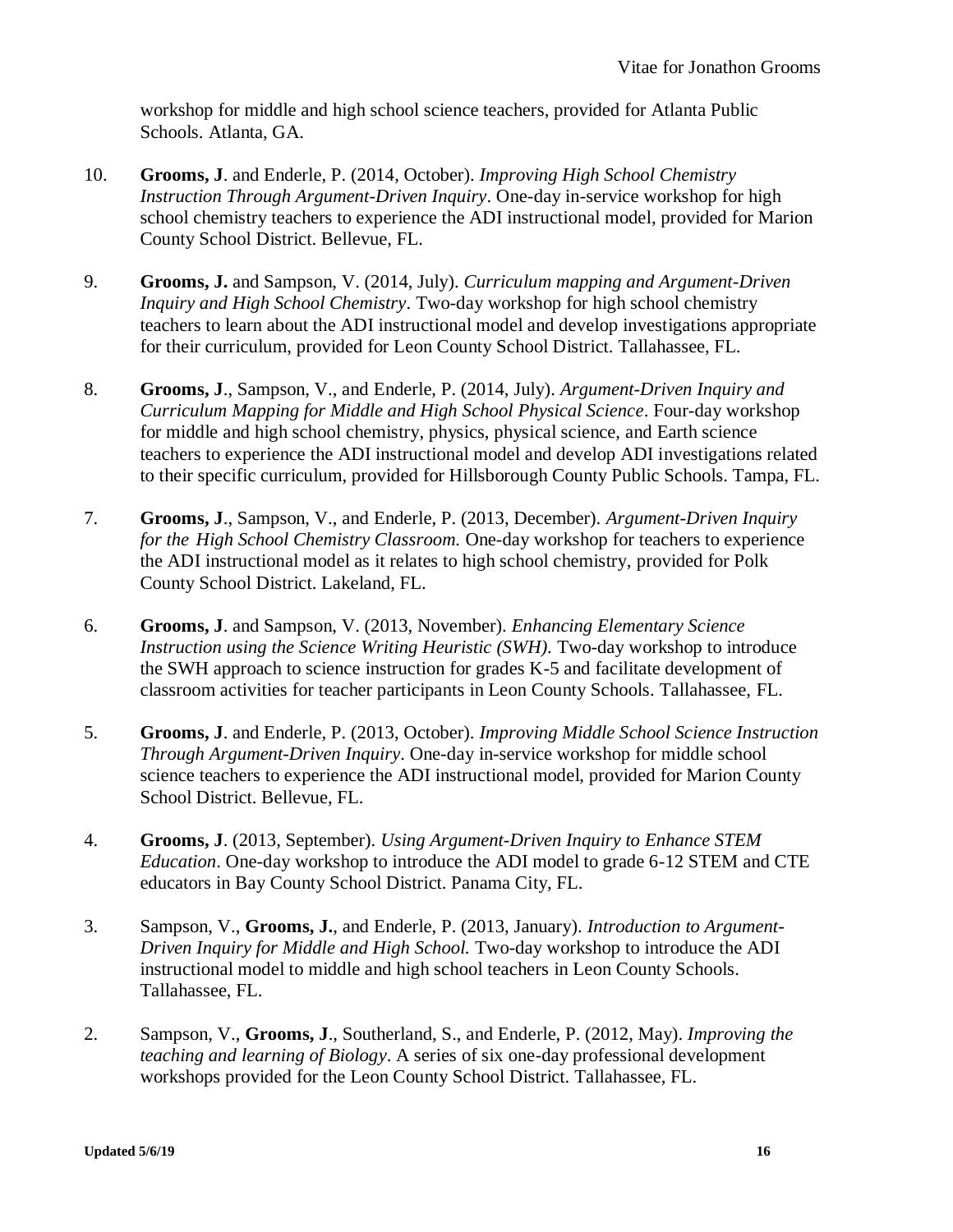workshop for middle and high school science teachers, provided for Atlanta Public Schools. Atlanta, GA.

- 10. **Grooms, J**. and Enderle, P. (2014, October). *Improving High School Chemistry Instruction Through Argument-Driven Inquiry*. One-day in-service workshop for high school chemistry teachers to experience the ADI instructional model, provided for Marion County School District. Bellevue, FL.
- 9. **Grooms, J.** and Sampson, V. (2014, July). *Curriculum mapping and Argument-Driven Inquiry and High School Chemistry*. Two-day workshop for high school chemistry teachers to learn about the ADI instructional model and develop investigations appropriate for their curriculum, provided for Leon County School District. Tallahassee, FL.
- 8. **Grooms, J**., Sampson, V., and Enderle, P. (2014, July). *Argument-Driven Inquiry and Curriculum Mapping for Middle and High School Physical Science*. Four-day workshop for middle and high school chemistry, physics, physical science, and Earth science teachers to experience the ADI instructional model and develop ADI investigations related to their specific curriculum, provided for Hillsborough County Public Schools. Tampa, FL.
- 7. **Grooms, J**., Sampson, V., and Enderle, P. (2013, December). *Argument-Driven Inquiry for the High School Chemistry Classroom.* One-day workshop for teachers to experience the ADI instructional model as it relates to high school chemistry, provided for Polk County School District. Lakeland, FL.
- 6. **Grooms, J**. and Sampson, V. (2013, November). *Enhancing Elementary Science Instruction using the Science Writing Heuristic (SWH).* Two-day workshop to introduce the SWH approach to science instruction for grades K-5 and facilitate development of classroom activities for teacher participants in Leon County Schools. Tallahassee, FL.
- 5. **Grooms, J**. and Enderle, P. (2013, October). *Improving Middle School Science Instruction Through Argument-Driven Inquiry*. One-day in-service workshop for middle school science teachers to experience the ADI instructional model, provided for Marion County School District. Bellevue, FL.
- 4. **Grooms, J**. (2013, September). *Using Argument-Driven Inquiry to Enhance STEM Education*. One-day workshop to introduce the ADI model to grade 6-12 STEM and CTE educators in Bay County School District. Panama City, FL.
- 3. Sampson, V., **Grooms, J.**, and Enderle, P. (2013, January). *Introduction to Argument-Driven Inquiry for Middle and High School.* Two-day workshop to introduce the ADI instructional model to middle and high school teachers in Leon County Schools. Tallahassee, FL.
- 2. Sampson, V., **Grooms, J**., Southerland, S., and Enderle, P. (2012, May). *Improving the teaching and learning of Biology*. A series of six one-day professional development workshops provided for the Leon County School District. Tallahassee, FL.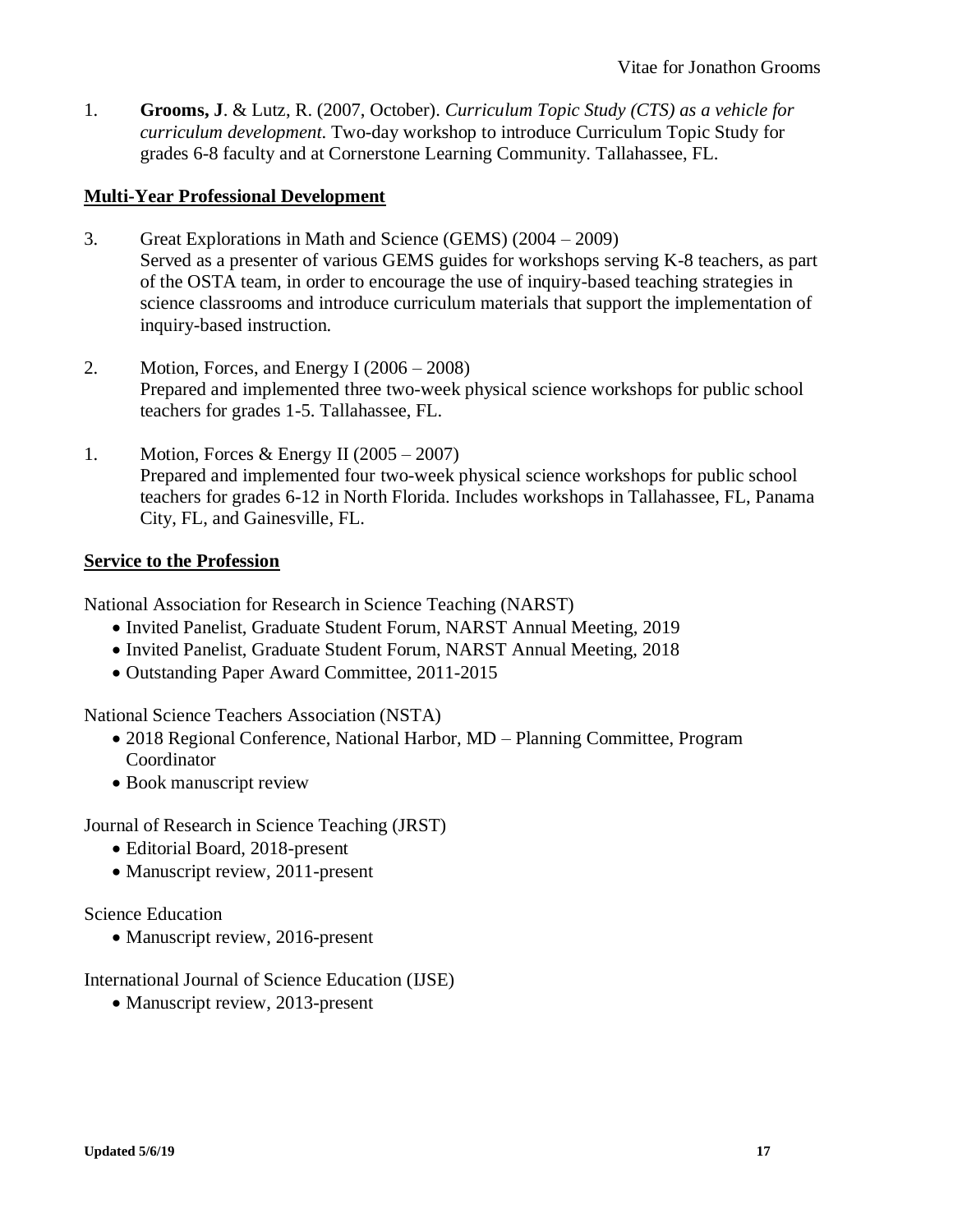1. **Grooms, J**. & Lutz, R. (2007, October). *Curriculum Topic Study (CTS) as a vehicle for curriculum development*. Two-day workshop to introduce Curriculum Topic Study for grades 6-8 faculty and at Cornerstone Learning Community. Tallahassee, FL.

## **Multi-Year Professional Development**

- 3. Great Explorations in Math and Science (GEMS) (2004 2009) Served as a presenter of various GEMS guides for workshops serving K-8 teachers, as part of the OSTA team, in order to encourage the use of inquiry-based teaching strategies in science classrooms and introduce curriculum materials that support the implementation of inquiry-based instruction.
- 2. Motion, Forces, and Energy I (2006 2008) Prepared and implemented three two-week physical science workshops for public school teachers for grades 1-5. Tallahassee, FL.
- 1. Motion, Forces & Energy II  $(2005 2007)$ Prepared and implemented four two-week physical science workshops for public school teachers for grades 6-12 in North Florida. Includes workshops in Tallahassee, FL, Panama City, FL, and Gainesville, FL.

## **Service to the Profession**

National Association for Research in Science Teaching (NARST)

- Invited Panelist, Graduate Student Forum, NARST Annual Meeting, 2019
- Invited Panelist, Graduate Student Forum, NARST Annual Meeting, 2018
- Outstanding Paper Award Committee, 2011-2015

National Science Teachers Association (NSTA)

- 2018 Regional Conference, National Harbor, MD Planning Committee, Program Coordinator
- Book manuscript review

Journal of Research in Science Teaching (JRST)

- Editorial Board, 2018-present
- Manuscript review, 2011-present

#### Science Education

• Manuscript review, 2016-present

International Journal of Science Education (IJSE)

• Manuscript review, 2013-present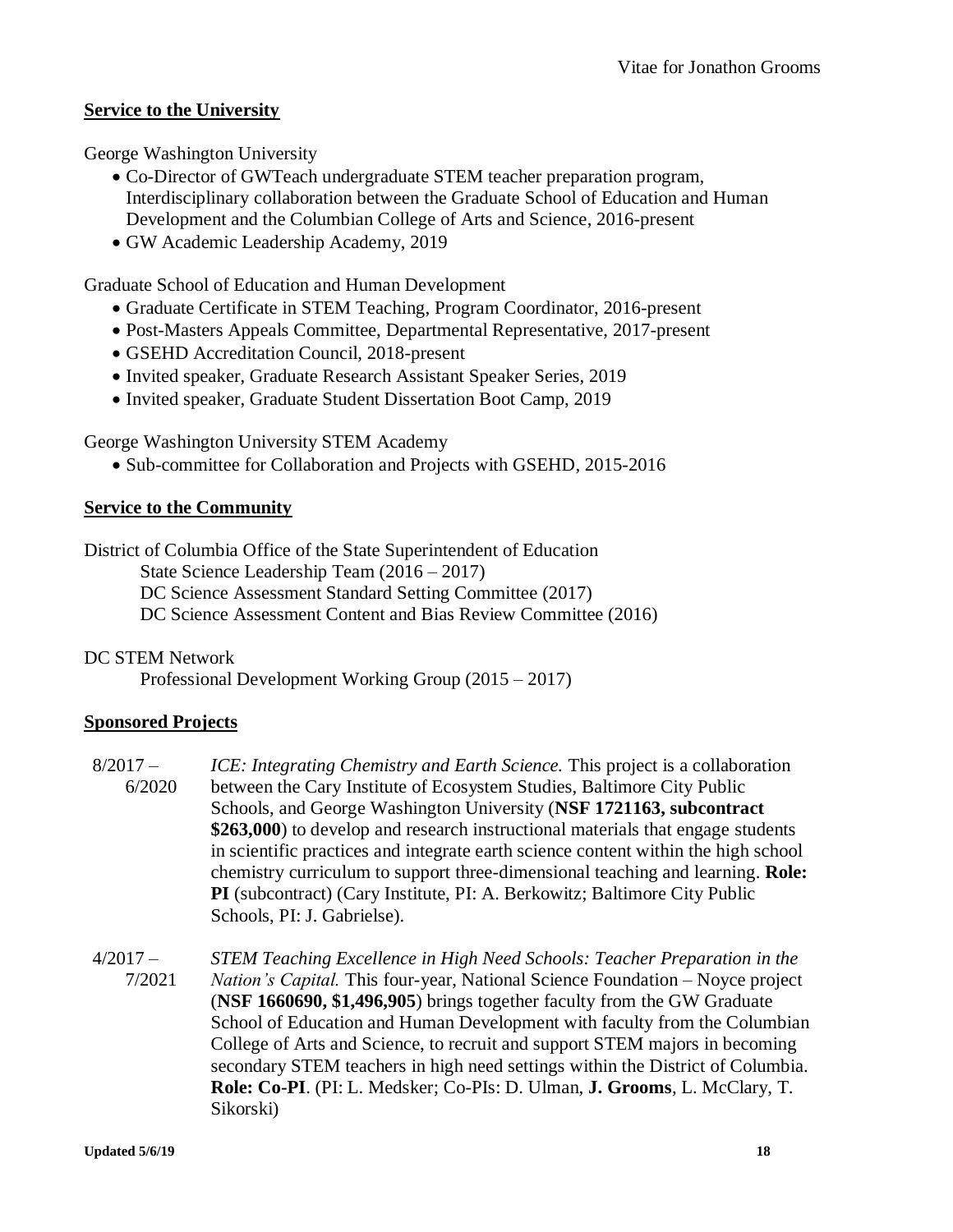## **Service to the University**

George Washington University

- Co-Director of GWTeach undergraduate STEM teacher preparation program, Interdisciplinary collaboration between the Graduate School of Education and Human Development and the Columbian College of Arts and Science, 2016-present
- GW Academic Leadership Academy, 2019

Graduate School of Education and Human Development

- Graduate Certificate in STEM Teaching, Program Coordinator, 2016-present
- Post-Masters Appeals Committee, Departmental Representative, 2017-present
- GSEHD Accreditation Council, 2018-present
- Invited speaker, Graduate Research Assistant Speaker Series, 2019
- Invited speaker, Graduate Student Dissertation Boot Camp, 2019

George Washington University STEM Academy

• Sub-committee for Collaboration and Projects with GSEHD, 2015-2016

## **Service to the Community**

District of Columbia Office of the State Superintendent of Education State Science Leadership Team (2016 – 2017) DC Science Assessment Standard Setting Committee (2017) DC Science Assessment Content and Bias Review Committee (2016)

## DC STEM Network

Professional Development Working Group (2015 – 2017)

## **Sponsored Projects**

 $8/2017 -$  6/2020 *ICE: Integrating Chemistry and Earth Science.* This project is a collaboration between the Cary Institute of Ecosystem Studies, Baltimore City Public Schools, and George Washington University (**NSF 1721163, subcontract \$263,000**) to develop and research instructional materials that engage students in scientific practices and integrate earth science content within the high school chemistry curriculum to support three-dimensional teaching and learning. **Role: PI** (subcontract) (Cary Institute, PI: A. Berkowitz; Baltimore City Public Schools, PI: J. Gabrielse).

 $4/2017 -$  7/2021 *STEM Teaching Excellence in High Need Schools: Teacher Preparation in the Nation's Capital.* This four-year, National Science Foundation – Noyce project (**NSF 1660690, \$1,496,905**) brings together faculty from the GW Graduate School of Education and Human Development with faculty from the Columbian College of Arts and Science, to recruit and support STEM majors in becoming secondary STEM teachers in high need settings within the District of Columbia. **Role: Co-PI**. (PI: L. Medsker; Co-PIs: D. Ulman, **J. Grooms**, L. McClary, T. Sikorski)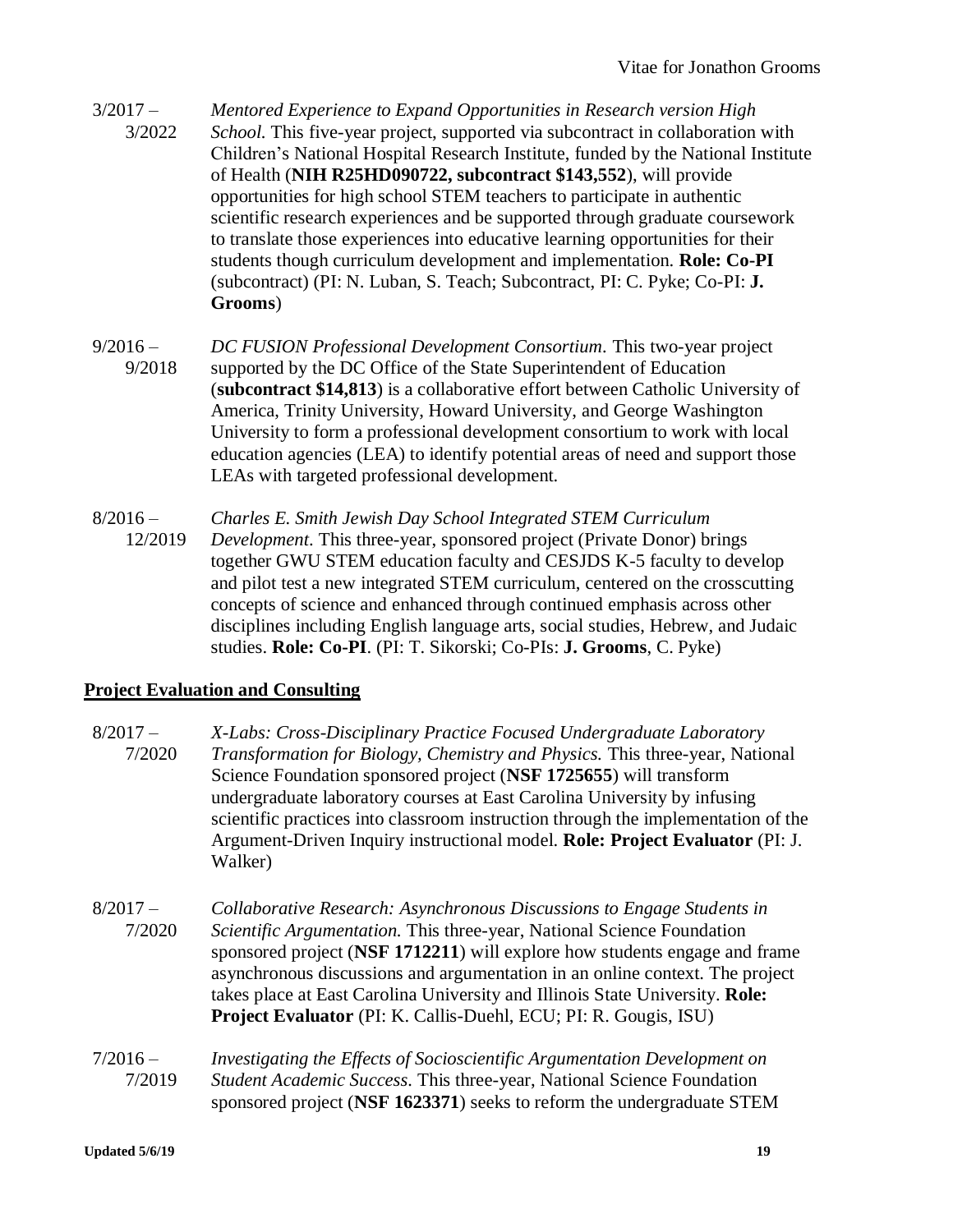- $3/2017 -$  3/2022 *Mentored Experience to Expand Opportunities in Research version High School.* This five-year project, supported via subcontract in collaboration with Children's National Hospital Research Institute, funded by the National Institute of Health (**NIH R25HD090722, subcontract \$143,552**), will provide opportunities for high school STEM teachers to participate in authentic scientific research experiences and be supported through graduate coursework to translate those experiences into educative learning opportunities for their students though curriculum development and implementation. **Role: Co-PI** (subcontract) (PI: N. Luban, S. Teach; Subcontract, PI: C. Pyke; Co-PI: **J. Grooms**)
- $9/2016 -$  9/2018 *DC FUSION Professional Development Consortium.* This two-year project supported by the DC Office of the State Superintendent of Education (**subcontract \$14,813**) is a collaborative effort between Catholic University of America, Trinity University, Howard University, and George Washington University to form a professional development consortium to work with local education agencies (LEA) to identify potential areas of need and support those LEAs with targeted professional development.
- $8/2016 -$  12/2019 *Charles E. Smith Jewish Day School Integrated STEM Curriculum Development*. This three-year, sponsored project (Private Donor) brings together GWU STEM education faculty and CESJDS K-5 faculty to develop and pilot test a new integrated STEM curriculum, centered on the crosscutting concepts of science and enhanced through continued emphasis across other disciplines including English language arts, social studies, Hebrew, and Judaic studies. **Role: Co-PI**. (PI: T. Sikorski; Co-PIs: **J. Grooms**, C. Pyke)

## **Project Evaluation and Consulting**

- $8/2017 -$  7/2020 *X-Labs: Cross-Disciplinary Practice Focused Undergraduate Laboratory Transformation for Biology, Chemistry and Physics.* This three-year, National Science Foundation sponsored project (**NSF 1725655**) will transform undergraduate laboratory courses at East Carolina University by infusing scientific practices into classroom instruction through the implementation of the Argument-Driven Inquiry instructional model. **Role: Project Evaluator** (PI: J. Walker)
- $8/2017 -$  7/2020 *Collaborative Research: Asynchronous Discussions to Engage Students in Scientific Argumentation.* This three-year, National Science Foundation sponsored project (**NSF 1712211**) will explore how students engage and frame asynchronous discussions and argumentation in an online context. The project takes place at East Carolina University and Illinois State University. **Role: Project Evaluator** (PI: K. Callis-Duehl, ECU; PI: R. Gougis, ISU)
- $7/2016 -$  7/2019 *Investigating the Effects of Socioscientific Argumentation Development on Student Academic Success.* This three-year, National Science Foundation sponsored project (**NSF 1623371**) seeks to reform the undergraduate STEM